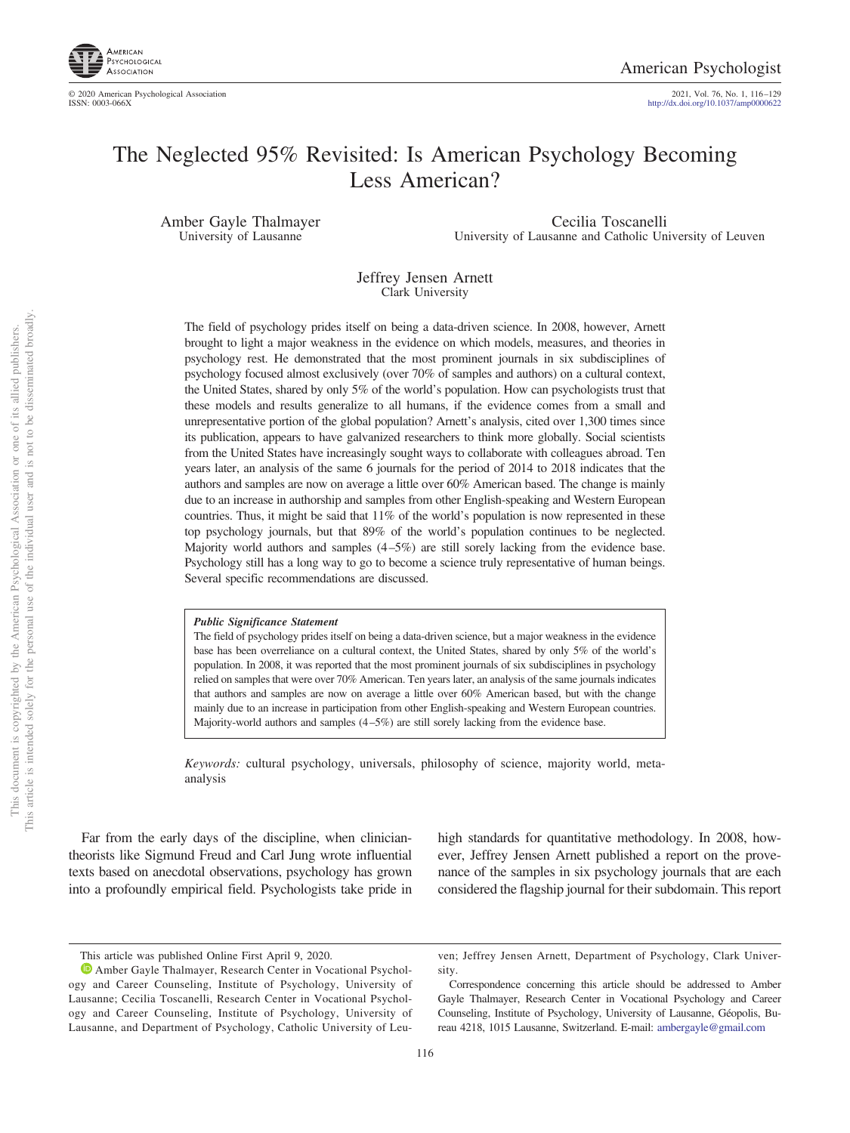

2021, Vol. 76, No. 1, 116-129<br>http://dx.doi.org[/10.1037/amp0000622](http://dx.doi.org/10.1037/amp0000622)

# The Neglected 95% Revisited: Is American Psychology Becoming Less American?

Amber Gayle Thalmayer University of Lausanne

Cecilia Toscanelli University of Lausanne and Catholic University of Leuven

Jeffrey Jensen Arnett Clark University

The field of psychology prides itself on being a data-driven science. In 2008, however, Arnett brought to light a major weakness in the evidence on which models, measures, and theories in psychology rest. He demonstrated that the most prominent journals in six subdisciplines of psychology focused almost exclusively (over 70% of samples and authors) on a cultural context, the United States, shared by only 5% of the world's population. How can psychologists trust that these models and results generalize to all humans, if the evidence comes from a small and unrepresentative portion of the global population? Arnett's analysis, cited over 1,300 times since its publication, appears to have galvanized researchers to think more globally. Social scientists from the United States have increasingly sought ways to collaborate with colleagues abroad. Ten years later, an analysis of the same 6 journals for the period of 2014 to 2018 indicates that the authors and samples are now on average a little over 60% American based. The change is mainly due to an increase in authorship and samples from other English-speaking and Western European countries. Thus, it might be said that 11% of the world's population is now represented in these top psychology journals, but that 89% of the world's population continues to be neglected. Majority world authors and samples (4–5%) are still sorely lacking from the evidence base. Psychology still has a long way to go to become a science truly representative of human beings. Several specific recommendations are discussed.

#### *Public Significance Statement*

The field of psychology prides itself on being a data-driven science, but a major weakness in the evidence base has been overreliance on a cultural context, the United States, shared by only 5% of the world's population. In 2008, it was reported that the most prominent journals of six subdisciplines in psychology relied on samples that were over 70% American. Ten years later, an analysis of the same journals indicates that authors and samples are now on average a little over 60% American based, but with the change mainly due to an increase in participation from other English-speaking and Western European countries. Majority-world authors and samples (4–5%) are still sorely lacking from the evidence base.

*Keywords:* cultural psychology, universals, philosophy of science, majority world, metaanalysis

Far from the early days of the discipline, when cliniciantheorists like Sigmund Freud and Carl Jung wrote influential texts based on anecdotal observations, psychology has grown into a profoundly empirical field. Psychologists take pride in high standards for quantitative methodology. In 2008, however, Jeffrey Jensen Arnett published a report on the provenance of the samples in six psychology journals that are each considered the flagship journal for their subdomain. This report

This article was published Online First April 9, 2020.

**D** [Amber Gayle Thalmayer,](https://orcid.org/0000-0002-1963-1123) Research Center in Vocational Psychology and Career Counseling, Institute of Psychology, University of Lausanne; Cecilia Toscanelli, Research Center in Vocational Psychology and Career Counseling, Institute of Psychology, University of Lausanne, and Department of Psychology, Catholic University of Leu-

ven; Jeffrey Jensen Arnett, Department of Psychology, Clark University.

Correspondence concerning this article should be addressed to Amber Gayle Thalmayer, Research Center in Vocational Psychology and Career Counseling, Institute of Psychology, University of Lausanne, Géopolis, Bureau 4218, 1015 Lausanne, Switzerland. E-mail: [ambergayle@gmail.com](mailto:ambergayle@gmail.com)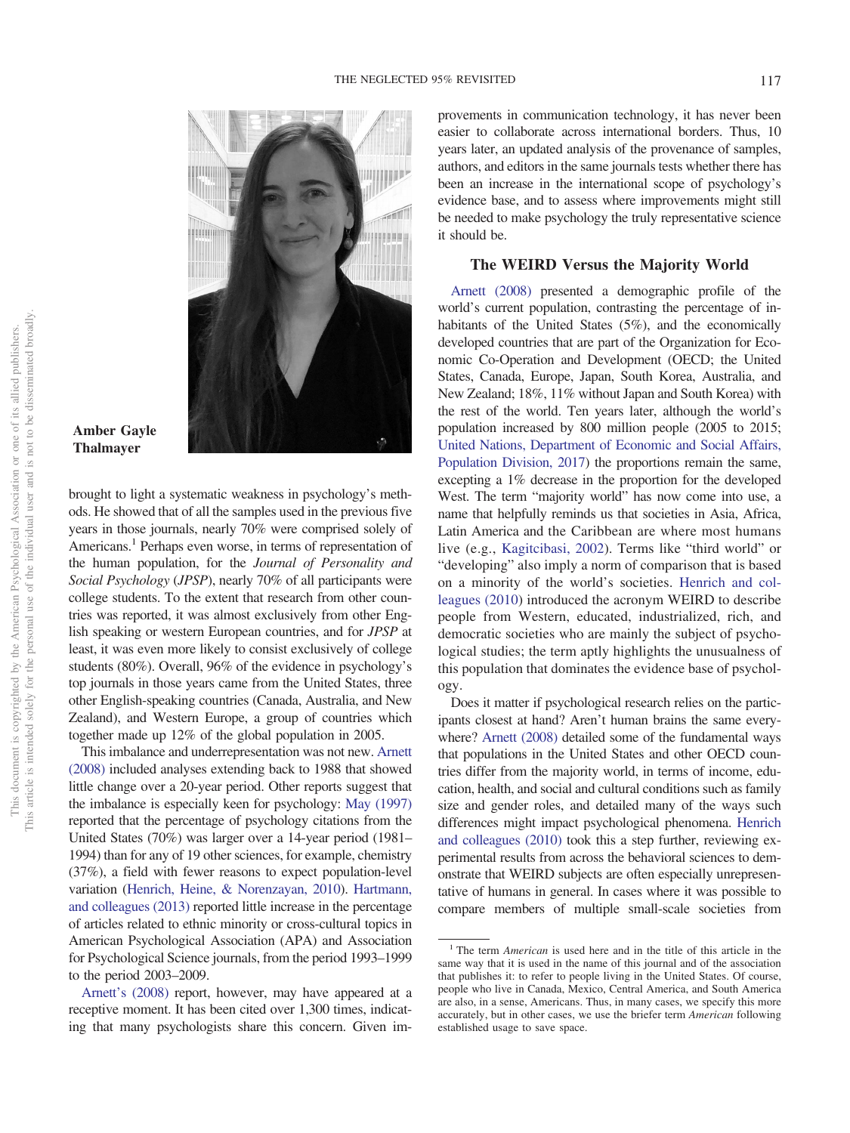

### **Amber Gayle Thalmayer**

brought to light a systematic weakness in psychology's methods. He showed that of all the samples used in the previous five years in those journals, nearly 70% were comprised solely of Americans.<sup>1</sup> Perhaps even worse, in terms of representation of the human population, for the *Journal of Personality and Social Psychology* (*JPSP*), nearly 70% of all participants were college students. To the extent that research from other countries was reported, it was almost exclusively from other English speaking or western European countries, and for *JPSP* at least, it was even more likely to consist exclusively of college students (80%). Overall, 96% of the evidence in psychology's top journals in those years came from the United States, three other English-speaking countries (Canada, Australia, and New Zealand), and Western Europe, a group of countries which together made up 12% of the global population in 2005.

This imbalance and underrepresentation was not new. [Arnett](#page-12-0) [\(2008\)](#page-12-0) included analyses extending back to 1988 that showed little change over a 20-year period. Other reports suggest that the imbalance is especially keen for psychology: [May \(1997\)](#page-12-1) reported that the percentage of psychology citations from the United States (70%) was larger over a 14-year period (1981– 1994) than for any of 19 other sciences, for example, chemistry (37%), a field with fewer reasons to expect population-level variation [\(Henrich, Heine, & Norenzayan, 2010\)](#page-12-2). [Hartmann,](#page-12-3) [and colleagues \(2013\)](#page-12-3) reported little increase in the percentage of articles related to ethnic minority or cross-cultural topics in American Psychological Association (APA) and Association for Psychological Science journals, from the period 1993–1999 to the period 2003–2009.

[Arnett's \(2008\)](#page-12-0) report, however, may have appeared at a receptive moment. It has been cited over 1,300 times, indicating that many psychologists share this concern. Given improvements in communication technology, it has never been easier to collaborate across international borders. Thus, 10 years later, an updated analysis of the provenance of samples, authors, and editors in the same journals tests whether there has been an increase in the international scope of psychology's evidence base, and to assess where improvements might still be needed to make psychology the truly representative science it should be.

#### **The WEIRD Versus the Majority World**

[Arnett \(2008\)](#page-12-0) presented a demographic profile of the world's current population, contrasting the percentage of inhabitants of the United States (5%), and the economically developed countries that are part of the Organization for Economic Co-Operation and Development (OECD; the United States, Canada, Europe, Japan, South Korea, Australia, and New Zealand; 18%, 11% without Japan and South Korea) with the rest of the world. Ten years later, although the world's population increased by 800 million people (2005 to 2015; [United Nations, Department of Economic and Social Affairs,](#page-13-0) [Population Division, 2017\)](#page-13-0) the proportions remain the same, excepting a 1% decrease in the proportion for the developed West. The term "majority world" has now come into use, a name that helpfully reminds us that societies in Asia, Africa, Latin America and the Caribbean are where most humans live (e.g., [Kagitcibasi, 2002\)](#page-12-4). Terms like "third world" or "developing" also imply a norm of comparison that is based on a minority of the world's societies. [Henrich and col](#page-12-2)[leagues \(2010\)](#page-12-2) introduced the acronym WEIRD to describe people from Western, educated, industrialized, rich, and democratic societies who are mainly the subject of psychological studies; the term aptly highlights the unusualness of this population that dominates the evidence base of psychology.

Does it matter if psychological research relies on the participants closest at hand? Aren't human brains the same everywhere? [Arnett \(2008\)](#page-12-0) detailed some of the fundamental ways that populations in the United States and other OECD countries differ from the majority world, in terms of income, education, health, and social and cultural conditions such as family size and gender roles, and detailed many of the ways such differences might impact psychological phenomena. [Henrich](#page-12-2) [and colleagues \(2010\)](#page-12-2) took this a step further, reviewing experimental results from across the behavioral sciences to demonstrate that WEIRD subjects are often especially unrepresentative of humans in general. In cases where it was possible to compare members of multiple small-scale societies from

<sup>1</sup> The term *American* is used here and in the title of this article in the same way that it is used in the name of this journal and of the association that publishes it: to refer to people living in the United States. Of course, people who live in Canada, Mexico, Central America, and South America are also, in a sense, Americans. Thus, in many cases, we specify this more accurately, but in other cases, we use the briefer term *American* following established usage to save space.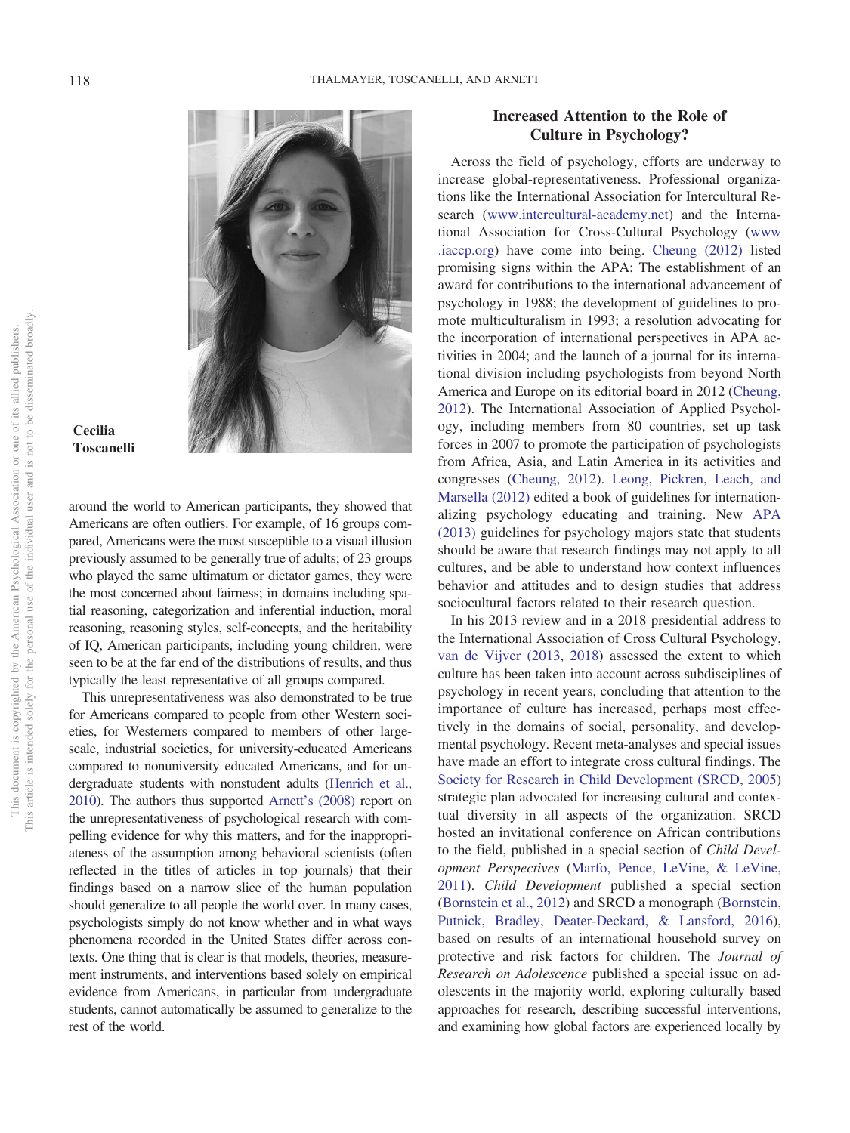

## **Cecilia Toscanelli**

around the world to American participants, they showed that Americans are often outliers. For example, of 16 groups compared, Americans were the most susceptible to a visual illusion previously assumed to be generally true of adults; of 23 groups who played the same ultimatum or dictator games, they were the most concerned about fairness; in domains including spatial reasoning, categorization and inferential induction, moral reasoning, reasoning styles, self-concepts, and the heritability of IQ, American participants, including young children, were seen to be at the far end of the distributions of results, and thus typically the least representative of all groups compared.

This unrepresentativeness was also demonstrated to be true for Americans compared to people from other Western societies, for Westerners compared to members of other largescale, industrial societies, for university-educated Americans compared to nonuniversity educated Americans, and for undergraduate students with nonstudent adults [\(Henrich et al.,](#page-12-2) [2010\)](#page-12-2). The authors thus supported [Arnett's \(2008\)](#page-12-0) report on the unrepresentativeness of psychological research with compelling evidence for why this matters, and for the inappropriateness of the assumption among behavioral scientists (often reflected in the titles of articles in top journals) that their findings based on a narrow slice of the human population should generalize to all people the world over. In many cases, psychologists simply do not know whether and in what ways phenomena recorded in the United States differ across contexts. One thing that is clear is that models, theories, measurement instruments, and interventions based solely on empirical evidence from Americans, in particular from undergraduate students, cannot automatically be assumed to generalize to the rest of the world.

# **Increased Attention to the Role of Culture in Psychology?**

Across the field of psychology, efforts are underway to increase global-representativeness. Professional organizations like the International Association for Intercultural Research [\(www.intercultural-academy.net\)](http://www.intercultural-academy.net) and the International Association for Cross-Cultural Psychology [\(www](http://www.iaccp.org) [.iaccp.org\)](http://www.iaccp.org) have come into being. [Cheung \(2012\)](#page-12-5) listed promising signs within the APA: The establishment of an award for contributions to the international advancement of psychology in 1988; the development of guidelines to promote multiculturalism in 1993; a resolution advocating for the incorporation of international perspectives in APA activities in 2004; and the launch of a journal for its international division including psychologists from beyond North America and Europe on its editorial board in 2012 [\(Cheung,](#page-12-5) [2012\)](#page-12-5). The International Association of Applied Psychology, including members from 80 countries, set up task forces in 2007 to promote the participation of psychologists from Africa, Asia, and Latin America in its activities and congresses [\(Cheung, 2012\)](#page-12-5). [Leong, Pickren, Leach, and](#page-12-6) [Marsella \(2012\)](#page-12-6) edited a book of guidelines for internationalizing psychology educating and training. New [APA](#page-12-7) [\(2013\)](#page-12-7) guidelines for psychology majors state that students should be aware that research findings may not apply to all cultures, and be able to understand how context influences behavior and attitudes and to design studies that address sociocultural factors related to their research question.

In his 2013 review and in a 2018 presidential address to the International Association of Cross Cultural Psychology, [van de Vijver \(2013,](#page-13-1) [2018\)](#page-13-2) assessed the extent to which culture has been taken into account across subdisciplines of psychology in recent years, concluding that attention to the importance of culture has increased, perhaps most effectively in the domains of social, personality, and developmental psychology. Recent meta-analyses and special issues have made an effort to integrate cross cultural findings. The [Society for Research in Child Development \(SRCD, 2005\)](#page-12-8) strategic plan advocated for increasing cultural and contextual diversity in all aspects of the organization. SRCD hosted an invitational conference on African contributions to the field, published in a special section of *Child Development Perspectives* [\(Marfo, Pence, LeVine, & LeVine,](#page-12-9) [2011\)](#page-12-9). *Child Development* published a special section [\(Bornstein et al., 2012\)](#page-12-10) and SRCD a monograph [\(Bornstein,](#page-12-11) [Putnick, Bradley, Deater-Deckard, & Lansford, 2016\)](#page-12-11), based on results of an international household survey on protective and risk factors for children. The *Journal of Research on Adolescence* published a special issue on adolescents in the majority world, exploring culturally based approaches for research, describing successful interventions, and examining how global factors are experienced locally by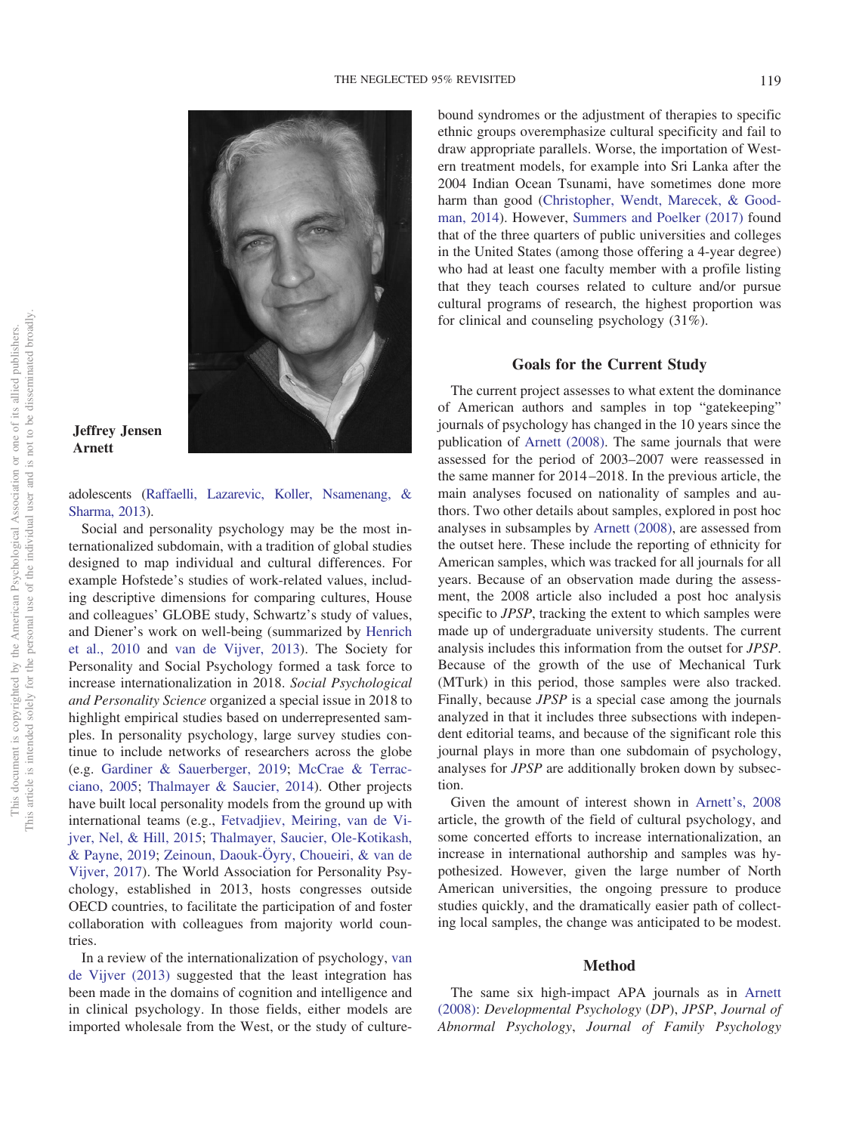

#### **Jeffrey Jensen Arnett**

adolescents [\(Raffaelli, Lazarevic, Koller, Nsamenang, &](#page-12-12) [Sharma, 2013\)](#page-12-12).

Social and personality psychology may be the most internationalized subdomain, with a tradition of global studies designed to map individual and cultural differences. For example Hofstede's studies of work-related values, including descriptive dimensions for comparing cultures, House and colleagues' GLOBE study, Schwartz's study of values, and Diener's work on well-being (summarized by [Henrich](#page-12-2) [et al., 2010](#page-12-2) and [van de Vijver, 2013\)](#page-13-1). The Society for Personality and Social Psychology formed a task force to increase internationalization in 2018. *Social Psychological and Personality Science* organized a special issue in 2018 to highlight empirical studies based on underrepresented samples. In personality psychology, large survey studies continue to include networks of researchers across the globe (e.g. [Gardiner & Sauerberger, 2019;](#page-12-13) [McCrae & Terrac](#page-12-14)[ciano, 2005;](#page-12-14) [Thalmayer & Saucier, 2014\)](#page-12-15). Other projects have built local personality models from the ground up with international teams (e.g., [Fetvadjiev, Meiring, van de Vi](#page-12-16)[jver, Nel, & Hill, 2015;](#page-12-16) [Thalmayer, Saucier, Ole-Kotikash,](#page-13-3) [& Payne, 2019;](#page-13-3) [Zeinoun, Daouk-Öyry, Choueiri, & van de](#page-13-4) [Vijver, 2017\)](#page-13-4). The World Association for Personality Psychology, established in 2013, hosts congresses outside OECD countries, to facilitate the participation of and foster collaboration with colleagues from majority world countries.

In a review of the internationalization of psychology, [van](#page-13-1) [de Vijver \(2013\)](#page-13-1) suggested that the least integration has been made in the domains of cognition and intelligence and in clinical psychology. In those fields, either models are imported wholesale from the West, or the study of culturebound syndromes or the adjustment of therapies to specific ethnic groups overemphasize cultural specificity and fail to draw appropriate parallels. Worse, the importation of Western treatment models, for example into Sri Lanka after the 2004 Indian Ocean Tsunami, have sometimes done more harm than good [\(Christopher, Wendt, Marecek, & Good](#page-12-17)[man, 2014\)](#page-12-17). However, [Summers and Poelker \(2017\)](#page-12-18) found that of the three quarters of public universities and colleges in the United States (among those offering a 4-year degree) who had at least one faculty member with a profile listing that they teach courses related to culture and/or pursue cultural programs of research, the highest proportion was for clinical and counseling psychology (31%).

#### **Goals for the Current Study**

The current project assesses to what extent the dominance of American authors and samples in top "gatekeeping" journals of psychology has changed in the 10 years since the publication of [Arnett \(2008\).](#page-12-0) The same journals that were assessed for the period of 2003–2007 were reassessed in the same manner for 2014–2018. In the previous article, the main analyses focused on nationality of samples and authors. Two other details about samples, explored in post hoc analyses in subsamples by [Arnett \(2008\),](#page-12-0) are assessed from the outset here. These include the reporting of ethnicity for American samples, which was tracked for all journals for all years. Because of an observation made during the assessment, the 2008 article also included a post hoc analysis specific to *JPSP*, tracking the extent to which samples were made up of undergraduate university students. The current analysis includes this information from the outset for *JPSP*. Because of the growth of the use of Mechanical Turk (MTurk) in this period, those samples were also tracked. Finally, because *JPSP* is a special case among the journals analyzed in that it includes three subsections with independent editorial teams, and because of the significant role this journal plays in more than one subdomain of psychology, analyses for *JPSP* are additionally broken down by subsection.

Given the amount of interest shown in [Arnett's, 2008](#page-12-0) article, the growth of the field of cultural psychology, and some concerted efforts to increase internationalization, an increase in international authorship and samples was hypothesized. However, given the large number of North American universities, the ongoing pressure to produce studies quickly, and the dramatically easier path of collecting local samples, the change was anticipated to be modest.

#### **Method**

The same six high-impact APA journals as in [Arnett](#page-12-0) [\(2008\):](#page-12-0) *Developmental Psychology* (*DP*), *JPSP*, *Journal of Abnormal Psychology*, *Journal of Family Psychology*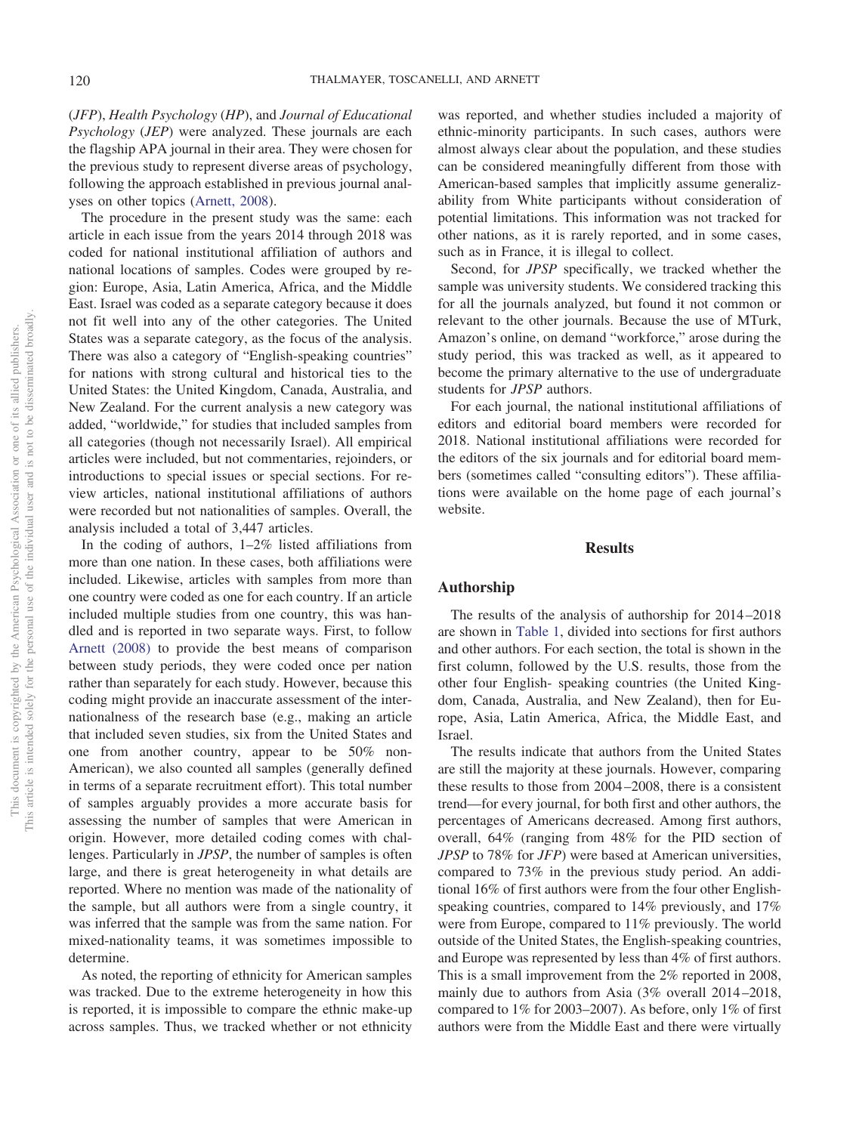(*JFP*), *Health Psychology* (*HP*), and *Journal of Educational Psychology* (*JEP*) were analyzed. These journals are each the flagship APA journal in their area. They were chosen for the previous study to represent diverse areas of psychology, following the approach established in previous journal analyses on other topics [\(Arnett, 2008\)](#page-12-0).

The procedure in the present study was the same: each article in each issue from the years 2014 through 2018 was coded for national institutional affiliation of authors and national locations of samples. Codes were grouped by region: Europe, Asia, Latin America, Africa, and the Middle East. Israel was coded as a separate category because it does not fit well into any of the other categories. The United States was a separate category, as the focus of the analysis. There was also a category of "English-speaking countries" for nations with strong cultural and historical ties to the United States: the United Kingdom, Canada, Australia, and New Zealand. For the current analysis a new category was added, "worldwide," for studies that included samples from all categories (though not necessarily Israel). All empirical articles were included, but not commentaries, rejoinders, or introductions to special issues or special sections. For review articles, national institutional affiliations of authors were recorded but not nationalities of samples. Overall, the analysis included a total of 3,447 articles.

In the coding of authors, 1–2% listed affiliations from more than one nation. In these cases, both affiliations were included. Likewise, articles with samples from more than one country were coded as one for each country. If an article included multiple studies from one country, this was handled and is reported in two separate ways. First, to follow [Arnett \(2008\)](#page-12-0) to provide the best means of comparison between study periods, they were coded once per nation rather than separately for each study. However, because this coding might provide an inaccurate assessment of the internationalness of the research base (e.g., making an article that included seven studies, six from the United States and one from another country, appear to be 50% non-American), we also counted all samples (generally defined in terms of a separate recruitment effort). This total number of samples arguably provides a more accurate basis for assessing the number of samples that were American in origin. However, more detailed coding comes with challenges. Particularly in *JPSP*, the number of samples is often large, and there is great heterogeneity in what details are reported. Where no mention was made of the nationality of the sample, but all authors were from a single country, it was inferred that the sample was from the same nation. For mixed-nationality teams, it was sometimes impossible to determine.

As noted, the reporting of ethnicity for American samples was tracked. Due to the extreme heterogeneity in how this is reported, it is impossible to compare the ethnic make-up across samples. Thus, we tracked whether or not ethnicity

was reported, and whether studies included a majority of ethnic-minority participants. In such cases, authors were almost always clear about the population, and these studies can be considered meaningfully different from those with American-based samples that implicitly assume generalizability from White participants without consideration of potential limitations. This information was not tracked for other nations, as it is rarely reported, and in some cases, such as in France, it is illegal to collect.

Second, for *JPSP* specifically, we tracked whether the sample was university students. We considered tracking this for all the journals analyzed, but found it not common or relevant to the other journals. Because the use of MTurk, Amazon's online, on demand "workforce," arose during the study period, this was tracked as well, as it appeared to become the primary alternative to the use of undergraduate students for *JPSP* authors.

For each journal, the national institutional affiliations of editors and editorial board members were recorded for 2018. National institutional affiliations were recorded for the editors of the six journals and for editorial board members (sometimes called "consulting editors"). These affiliations were available on the home page of each journal's website.

### **Results**

#### **Authorship**

The results of the analysis of authorship for 2014–2018 are shown in [Table 1,](#page-5-0) divided into sections for first authors and other authors. For each section, the total is shown in the first column, followed by the U.S. results, those from the other four English- speaking countries (the United Kingdom, Canada, Australia, and New Zealand), then for Europe, Asia, Latin America, Africa, the Middle East, and Israel.

The results indicate that authors from the United States are still the majority at these journals. However, comparing these results to those from 2004–2008, there is a consistent trend—for every journal, for both first and other authors, the percentages of Americans decreased. Among first authors, overall, 64% (ranging from 48% for the PID section of *JPSP* to 78% for *JFP*) were based at American universities, compared to 73% in the previous study period. An additional 16% of first authors were from the four other Englishspeaking countries, compared to 14% previously, and 17% were from Europe, compared to 11% previously. The world outside of the United States, the English-speaking countries, and Europe was represented by less than 4% of first authors. This is a small improvement from the 2% reported in 2008, mainly due to authors from Asia (3% overall 2014–2018, compared to 1% for 2003–2007). As before, only 1% of first authors were from the Middle East and there were virtually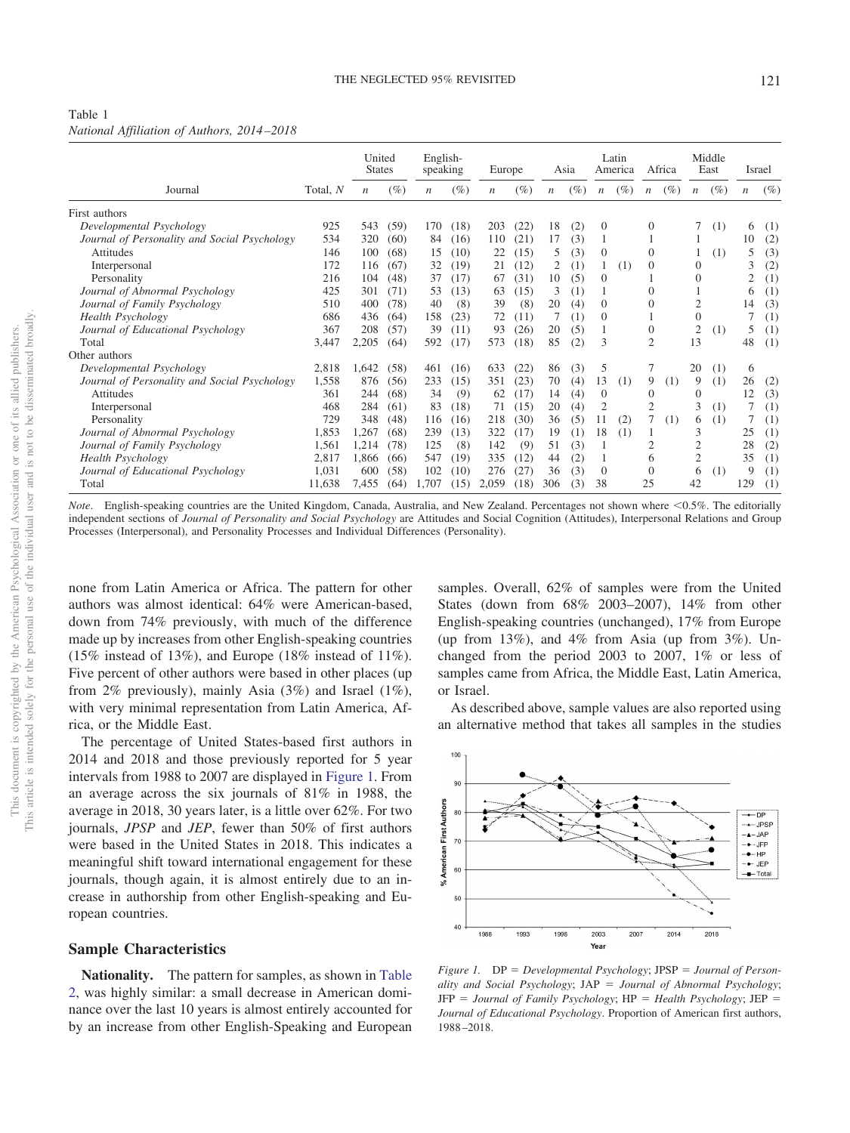# <span id="page-5-0"></span>Table 1

| National Affiliation of Authors, 2014–2018 |  |
|--------------------------------------------|--|
|--------------------------------------------|--|

|                                              |          | United<br><b>States</b> |        | English-<br>speaking |        | Europe           |        | Asia             |     |                  | Latin<br>America |                  | Africa |                  | Middle<br>East | Israel           |        |
|----------------------------------------------|----------|-------------------------|--------|----------------------|--------|------------------|--------|------------------|-----|------------------|------------------|------------------|--------|------------------|----------------|------------------|--------|
| Journal                                      | Total, N | n                       | $(\%)$ | $\boldsymbol{n}$     | $(\%)$ | $\boldsymbol{n}$ | $(\%)$ | $\boldsymbol{n}$ | (%) | $\boldsymbol{n}$ | $(\%)$           | $\boldsymbol{n}$ | $(\%)$ | $\boldsymbol{n}$ | $(\%)$         | $\boldsymbol{n}$ | $(\%)$ |
| First authors                                |          |                         |        |                      |        |                  |        |                  |     |                  |                  |                  |        |                  |                |                  |        |
| Developmental Psychology                     | 925      | 543                     | (59)   | 170                  | (18)   | 203              | (22)   | 18               | (2) | $\mathbf{0}$     |                  | $\Omega$         |        |                  | (1)            | 6                | (1)    |
| Journal of Personality and Social Psychology | 534      | 320                     | (60)   | 84                   | (16)   | 110              | (21)   | 17               | (3) |                  |                  |                  |        |                  |                | 10               | (2)    |
| Attitudes                                    | 146      | 100                     | (68)   | 15                   | (10)   | 22               | (15)   | 5                | (3) | $\overline{0}$   |                  | $\theta$         |        |                  | (1)            | 5                | (3)    |
| Interpersonal                                | 172      | 116                     | (67)   | 32                   | (19)   | 21               | (12)   | 2                | (1) |                  | (1)              | $\Omega$         |        | $\theta$         |                | 3                | (2)    |
| Personality                                  | 216      | 104                     | (48)   | 37                   | (17)   | 67               | (31)   | 10               | (5) | 0                |                  |                  |        | $\Omega$         |                | $\overline{c}$   | (1)    |
| Journal of Abnormal Psychology               | 425      | 301                     | (71)   | 53                   | (13)   | 63               | (15)   | 3                | (1) |                  |                  | $\Omega$         |        |                  |                | 6                | (1)    |
| Journal of Family Psychology                 | 510      | 400                     | (78)   | 40                   | (8)    | 39               | (8)    | 20               | (4) | $\Omega$         |                  | 0                |        | 2                |                | 14               | (3)    |
| <b>Health Psychology</b>                     | 686      | 436                     | (64)   | 158                  | (23)   | 72               | (11)   | 7                | (1) | $\mathbf{0}$     |                  |                  |        | $\theta$         |                |                  | (1)    |
| Journal of Educational Psychology            | 367      | 208                     | (57)   | 39                   | (11)   | 93               | (26)   | 20               | (5) |                  |                  | $\theta$         |        | 2                | (1)            | 5                | (1)    |
| Total                                        | 3,447    | 2,205                   | (64)   | 592                  | (17)   | 573              | (18)   | 85               | (2) | 3                |                  | $\overline{2}$   |        | 13               |                | 48               | (1)    |
| Other authors                                |          |                         |        |                      |        |                  |        |                  |     |                  |                  |                  |        |                  |                |                  |        |
| Developmental Psychology                     | 2,818    | 1,642                   | (58)   | 461                  | (16)   | 633              | (22)   | 86               | (3) | 5                |                  |                  |        | 20               | (1)            | 6                |        |
| Journal of Personality and Social Psychology | 1,558    | 876                     | (56)   | 233                  | (15)   | 351              | (23)   | 70               | (4) | 13               | (1)              | 9                | (1)    | 9                | (1)            | 26               | (2)    |
| Attitudes                                    | 361      | 244                     | (68)   | 34                   | (9)    | 62               | (17)   | 14               | (4) | $\theta$         |                  | $\Omega$         |        | $\Omega$         |                | 12               | (3)    |
| Interpersonal                                | 468      | 284                     | (61)   | 83                   | (18)   | 71               | (15)   | 20               | (4) | $\overline{2}$   |                  | $\overline{2}$   |        | 3                | (1)            |                  | (1)    |
| Personality                                  | 729      | 348                     | (48)   | 116                  | (16)   | 218              | (30)   | 36               | (5) | 11               | (2)              |                  | (1)    | 6                | (1)            |                  | (1)    |
| Journal of Abnormal Psychology               | 1,853    | 1,267                   | (68)   | 239                  | (13)   | 322              | (17)   | 19               | (1) | 18               | (1)              |                  |        | 3                |                | 25               | (1)    |
| Journal of Family Psychology                 | 1,561    | 1,214                   | (78)   | 125                  | (8)    | 142              | (9)    | 51               | (3) |                  |                  | 2                |        | $\overline{2}$   |                | 28               | (2)    |
| <b>Health Psychology</b>                     | 2,817    | 1.866                   | (66)   | 547                  | (19)   | 335              | (12)   | 44               | (2) |                  |                  | 6                |        | $\mathfrak{2}$   |                | 35               | (1)    |
| Journal of Educational Psychology            | 1,031    | 600                     | (58)   | 102                  | (10)   | 276              | (27)   | 36               | (3) | $\Omega$         |                  | $\Omega$         |        | 6                | (1)            | 9                | (1)    |
| Total                                        | 11,638   | 7,455                   | (64)   | 1.707                | (15)   | 2.059            | (18)   | 306              | (3) | 38               |                  | 25               |        | 42               |                | 129              | (1)    |

Note. English-speaking countries are the United Kingdom, Canada, Australia, and New Zealand. Percentages not shown where <0.5%. The editorially independent sections of *Journal of Personality and Social Psychology* are Attitudes and Social Cognition (Attitudes), Interpersonal Relations and Group Processes (Interpersonal), and Personality Processes and Individual Differences (Personality).

none from Latin America or Africa. The pattern for other authors was almost identical: 64% were American-based, down from 74% previously, with much of the difference made up by increases from other English-speaking countries (15% instead of 13%), and Europe (18% instead of 11%). Five percent of other authors were based in other places (up from 2% previously), mainly Asia (3%) and Israel (1%), with very minimal representation from Latin America, Africa, or the Middle East.

The percentage of United States-based first authors in 2014 and 2018 and those previously reported for 5 year intervals from 1988 to 2007 are displayed in [Figure 1.](#page-5-1) From an average across the six journals of 81% in 1988, the average in 2018, 30 years later, is a little over 62%. For two journals, *JPSP* and *JEP*, fewer than 50% of first authors were based in the United States in 2018. This indicates a meaningful shift toward international engagement for these journals, though again, it is almost entirely due to an increase in authorship from other English-speaking and European countries.

#### **Sample Characteristics**

**Nationality.** The pattern for samples, as shown in [Table](#page-6-0) [2,](#page-6-0) was highly similar: a small decrease in American dominance over the last 10 years is almost entirely accounted for by an increase from other English-Speaking and European samples. Overall, 62% of samples were from the United States (down from 68% 2003–2007), 14% from other English-speaking countries (unchanged), 17% from Europe (up from  $13\%$ ), and  $4\%$  from Asia (up from  $3\%$ ). Unchanged from the period 2003 to 2007, 1% or less of samples came from Africa, the Middle East, Latin America, or Israel.

As described above, sample values are also reported using an alternative method that takes all samples in the studies



<span id="page-5-1"></span>*Figure 1.* DP *Developmental Psychology*; JPSP *Journal of Personality and Social Psychology*; JAP *Journal of Abnormal Psychology*; JFP *Journal of Family Psychology*; HP *Health Psychology*; JEP *Journal of Educational Psychology*. Proportion of American first authors, 1988–2018.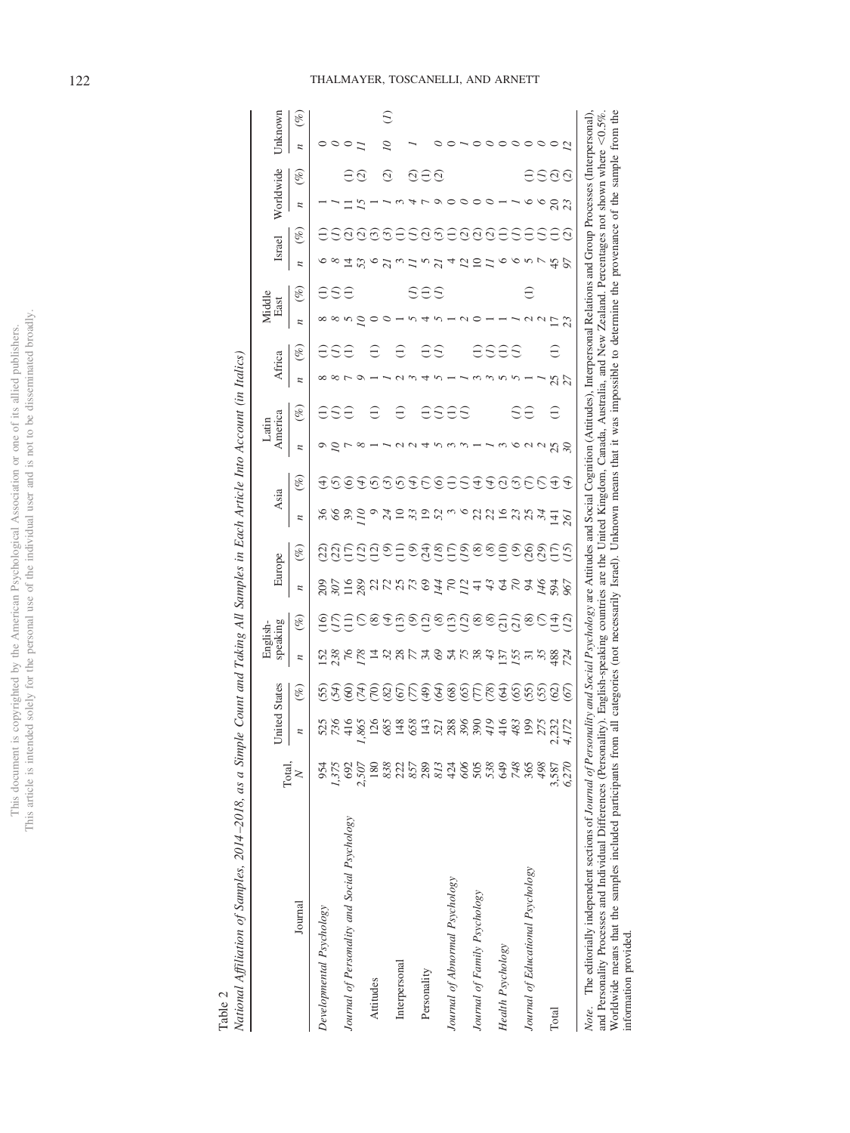| j<br>í<br>ä<br>j<br>ċ<br>ì                                                                      | ¢<br>ł                |
|-------------------------------------------------------------------------------------------------|-----------------------|
| Ī<br>ï<br>i<br>Í                                                                                | í<br>i                |
|                                                                                                 |                       |
| j<br>֖֖֖֖֖֖֖֖֖֖֖֖֧֪֪ׅ֪֪֪֪֪֪֪֪֪֪֪֪֪֪֪֪֪֪֪֪֪֪֪֪֪֪֪֪֪֪֪֪֚֚֚֚֚֚֚֚֚֚֚֚֚֚֚֚֚֚֚֚֚֚֚֚֚֚֚֚֬֝֓֞<br>Ç<br>J |                       |
| l<br>i                                                                                          |                       |
|                                                                                                 | ĝ                     |
|                                                                                                 | <u>usu</u><br>i       |
| ċ<br>ł<br>j<br>I<br>ì                                                                           |                       |
| $\frac{1}{2}$<br>ţ                                                                              |                       |
| i<br>í<br>ì<br>j                                                                                | ١<br>ţ                |
| i<br>I<br>Ĕ                                                                                     | Control.<br>j         |
|                                                                                                 | j<br>í<br>l           |
| I<br>ς<br>ì<br>ì<br>l<br>ł<br>j<br>$\overline{)}$<br><b>Collaboration</b><br>ï<br>I             | J<br>ł<br>ï<br>j<br>ł |
| í<br>I<br>J                                                                                     |                       |
| S<br>ä<br>Ē                                                                                     | ĵ                     |
| has'                                                                                            | i<br>į                |
| ä                                                                                               | Ŷ<br>≘<br>Ē           |

<span id="page-6-0"></span>National Affiliation of Samples, 2014-2018, as a Simple Count and Taking All Samples in Each Article Into Account (in Italics) National Affiliation of Samples, 2014–2018, as a Simple Count and Taking All Samples in Each Article Into Account (in Italics) Table 2

|                                                               |            |                          |                                                                                                                                           |                          | English-                                |                          |                     |                          |                             | Latin          |         |                |                | Middle   |        |                 |                      |                      |         |            |
|---------------------------------------------------------------|------------|--------------------------|-------------------------------------------------------------------------------------------------------------------------------------------|--------------------------|-----------------------------------------|--------------------------|---------------------|--------------------------|-----------------------------|----------------|---------|----------------|----------------|----------|--------|-----------------|----------------------|----------------------|---------|------------|
|                                                               | Total,     | <b>Jnited States</b>     |                                                                                                                                           |                          | speaking                                | Europe                   |                     |                          | Asia                        |                | America | Africa         |                | East     |        | Israel          |                      | Worldwide            |         | Unknown    |
| Journal                                                       | $\geq$     | $\overline{\phantom{a}}$ | E)                                                                                                                                        | $\overline{\phantom{a}}$ | E)                                      | $\overline{\phantom{a}}$ | E.                  | $\overline{\phantom{a}}$ | $(\%)$                      | $\overline{a}$ | E)      | $\overline{a}$ | (%)            | z        | $(\%)$ | $\overline{a}$  | $(\%)$               | E)<br>$\overline{a}$ |         | $(\%)$     |
| Developmental Psychology                                      | 954        | 525                      | (55)                                                                                                                                      |                          | $\widetilde{=}$                         | 209                      | <u>ମ୍ବ</u>          | 36                       | €                           | Q              | A       |                | a              | $\infty$ |        |                 |                      |                      | 0       |            |
|                                                               | 1,375      | 736                      | (54)                                                                                                                                      |                          | E)                                      |                          |                     |                          | <u>ର</u>                    |                |         |                | $\mathfrak{S}$ |          |        | $^{\circ}$      |                      |                      |         |            |
| Journal of Personality and Social Psychology                  | 692        | 416                      | $\widehat{60}$                                                                                                                            | 152<br>236<br>78         |                                         | STSSUKREFETT             | <u>ମ୍ମସ୍ତ</u>       | caso za                  | ত                           | $\frac{1}{2}$  | SĐ      |                | Ξ              |          | ese    | 三               | Ø                    | E)                   | $\circ$ |            |
|                                                               | 2,507      | 865                      |                                                                                                                                           |                          | $\Xi$ es                                |                          |                     |                          | Đ                           |                |         |                |                |          |        | 53              | $\widehat{\Omega}$   | $\widehat{\circ}$    |         |            |
| Attitudes                                                     | 180        | 126                      | FESSEREE                                                                                                                                  |                          | $_{(8)}$                                |                          |                     |                          | $\omega$                    |                | Ξ       |                | Ξ              |          |        |                 | $\omega$             |                      |         |            |
|                                                               | 838        | 685                      |                                                                                                                                           |                          |                                         |                          |                     |                          | $\odot$                     |                |         |                |                |          |        |                 | $\omega$             | $\widehat{\odot}$    | 2       | $\bigcirc$ |
| Interpersonal                                                 | 222        | 148                      |                                                                                                                                           |                          | $\begin{pmatrix} 4 \\ 13 \end{pmatrix}$ |                          |                     |                          | $\widehat{c}$               |                | E       |                | Ξ              |          |        |                 | ₩                    |                      |         |            |
|                                                               |            | 658                      |                                                                                                                                           |                          | $\circledcirc$                          |                          |                     |                          |                             |                |         |                |                |          |        |                 |                      |                      |         |            |
| Personality                                                   | 857<br>289 | 143                      |                                                                                                                                           | 122749278                |                                         |                          | ටුවනිු විටු වෙමටු ව | $330$                    | ESSE                        |                |         |                | A              |          | SES    | S               | ତେଷ                  | ଡ଼ିକ                 |         |            |
|                                                               |            | 521                      |                                                                                                                                           |                          |                                         |                          |                     |                          |                             |                |         |                | S              |          |        | $\overline{21}$ |                      |                      |         |            |
| Journal of Abnormal Psychology                                | 238<br>238 | 288                      |                                                                                                                                           |                          |                                         |                          |                     |                          |                             |                | eses    |                |                |          |        |                 | ₩                    |                      |         |            |
|                                                               |            | 396                      |                                                                                                                                           |                          |                                         |                          |                     |                          | S                           |                |         |                |                |          |        | 2               |                      |                      |         |            |
| Journal of Family Psychology                                  | 588        | 390                      |                                                                                                                                           |                          |                                         |                          |                     | 3892                     | $\bigoplus$                 |                |         |                | Ξ              |          |        | $\supseteq$     | 0.0                  |                      |         |            |
|                                                               |            | 419                      |                                                                                                                                           | 43                       |                                         |                          |                     |                          |                             |                |         |                |                |          |        |                 |                      |                      |         |            |
| Health Psychology                                             |            | 416                      | <b>895699</b>                                                                                                                             | 137                      | පිමුවිනු වෙපි ව                         | 225272                   |                     |                          | $\mathfrak{F} \mathfrak{S}$ |                |         |                | SS             |          |        |                 | $\Im\Xi$             |                      |         |            |
|                                                               | 748<br>365 | 483                      |                                                                                                                                           |                          |                                         |                          |                     |                          | $\odot$                     |                |         |                | $\mathcal{L}$  |          |        |                 | $\Xi$                |                      |         |            |
| Journal of Educational Psychology                             |            | 199                      |                                                                                                                                           |                          | $^\circledR$                            |                          |                     | 234                      |                             |                | SÐ      |                |                |          | Ξ      |                 | ₩                    |                      | $\circ$ |            |
|                                                               | 867        | 275                      | 55                                                                                                                                        | $\frac{35}{3}$           | E                                       |                          |                     |                          | EE                          | $\frac{2}{3}$  |         |                |                |          |        | $\frac{5}{4}$   | S                    | $\circ$              | $\circ$ |            |
| Total                                                         | 3,587      | 232                      | $\widetilde{\mathcal{O}}$                                                                                                                 | 488                      | $\frac{4}{11}$                          |                          | 88E                 | $\overline{41}$          | $\bigoplus$                 |                | Э       |                | Э              | n        |        |                 | Э                    | $\overline{c}$       |         |            |
|                                                               | 6,270      | 4,172                    | (67)                                                                                                                                      | 724                      | (2)                                     | 967                      | (2)                 | 261                      | Ð                           | $\mathcal{S}O$ |         | 25             |                | 23       |        | 50              | $\widetilde{\omega}$ | 23                   |         |            |
| Note. The editorially independent sections of Journal of Pers |            |                          | onality and Social Psychology are Attitudes and Social Cognition (Attitudes), Interpersonal Relations and Group Processes (Interpersonal) |                          |                                         |                          |                     |                          |                             |                |         |                |                |          |        |                 |                      |                      |         |            |

# 122 THALMAYER, TOSCANELLI, AND ARNETT

Note. The editorially independent sections of *Journal of Personality and Social Psychology* are Attitudes and Social Cognition (Attitudes), Interpersonal Relations and Group Processes (Interpersonal), and Personality Proc Worldwide means that the samples included participants from all categories (not necessarily Israel). Unknown means that it was impossible to determine the provenance of the sample from the information provided.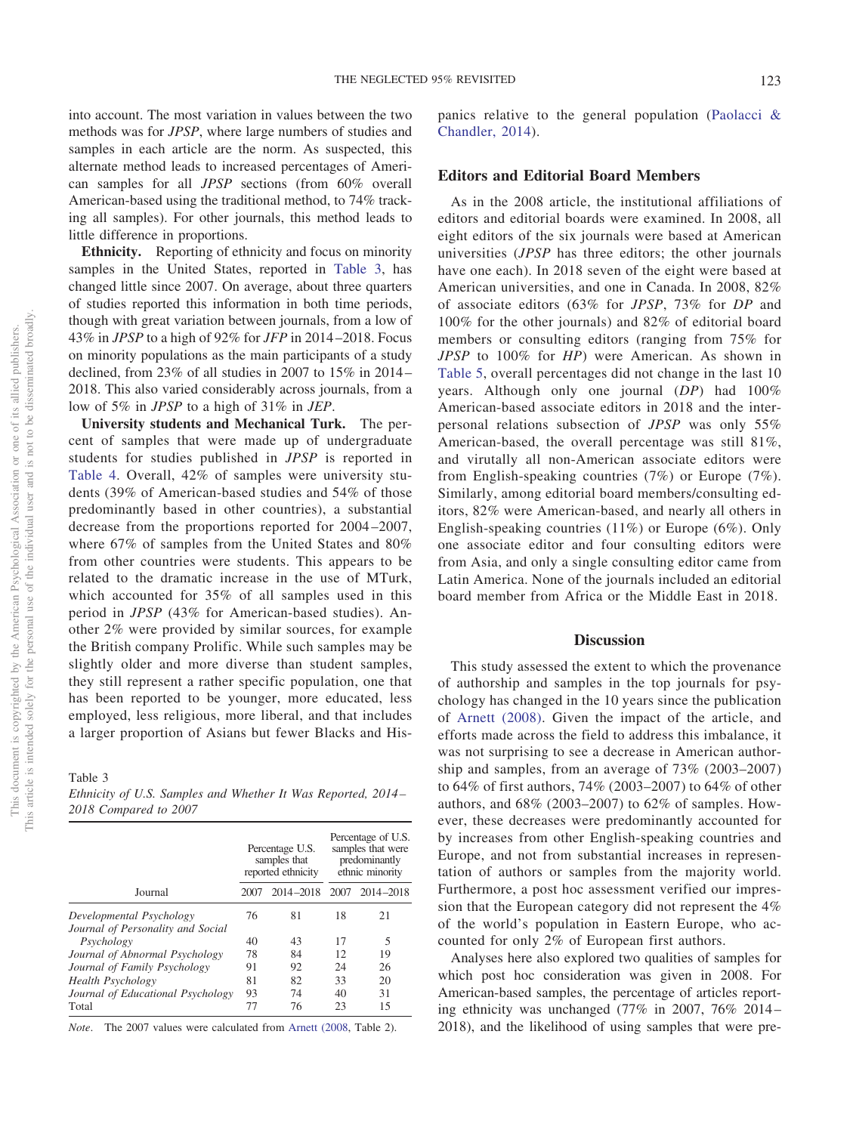into account. The most variation in values between the two methods was for *JPSP*, where large numbers of studies and samples in each article are the norm. As suspected, this alternate method leads to increased percentages of American samples for all *JPSP* sections (from 60% overall American-based using the traditional method, to 74% tracking all samples). For other journals, this method leads to little difference in proportions.

**Ethnicity.** Reporting of ethnicity and focus on minority samples in the United States, reported in [Table 3,](#page-7-0) has changed little since 2007. On average, about three quarters of studies reported this information in both time periods, though with great variation between journals, from a low of 43% in *JPSP* to a high of 92% for *JFP* in 2014–2018. Focus on minority populations as the main participants of a study declined, from 23% of all studies in 2007 to 15% in 2014– 2018. This also varied considerably across journals, from a low of 5% in *JPSP* to a high of 31% in *JEP*.

**University students and Mechanical Turk.** The percent of samples that were made up of undergraduate students for studies published in *JPSP* is reported in [Table 4.](#page-8-0) Overall, 42% of samples were university students (39% of American-based studies and 54% of those predominantly based in other countries), a substantial decrease from the proportions reported for 2004–2007, where 67% of samples from the United States and 80% from other countries were students. This appears to be related to the dramatic increase in the use of MTurk, which accounted for 35% of all samples used in this period in *JPSP* (43% for American-based studies). Another 2% were provided by similar sources, for example the British company Prolific. While such samples may be slightly older and more diverse than student samples, they still represent a rather specific population, one that has been reported to be younger, more educated, less employed, less religious, more liberal, and that includes a larger proportion of Asians but fewer Blacks and His-

<span id="page-7-0"></span>Table 3

*Ethnicity of U.S. Samples and Whether It Was Reported, 2014 – 2018 Compared to 2007*

|                                   |      | Percentage U.S.<br>samples that<br>reported ethnicity |    | Percentage of U.S.<br>samples that were<br>predominantly<br>ethnic minority |
|-----------------------------------|------|-------------------------------------------------------|----|-----------------------------------------------------------------------------|
| Journal                           | 2007 | 2014-2018 2007                                        |    | $2014 - 2018$                                                               |
| Developmental Psychology          | 76   | 81                                                    | 18 | 21                                                                          |
| Journal of Personality and Social |      |                                                       |    |                                                                             |
| Psychology                        | 40   | 43                                                    | 17 | 5                                                                           |
| Journal of Abnormal Psychology    | 78   | 84                                                    | 12 | 19                                                                          |
| Journal of Family Psychology      | 91   | 92                                                    | 24 | 26                                                                          |
| <b>Health Psychology</b>          | 81   | 82                                                    | 33 | 20                                                                          |
| Journal of Educational Psychology | 93   | 74                                                    | 40 | 31                                                                          |
| Total                             | 77   | 76                                                    | 23 | 15                                                                          |

*Note*. The 2007 values were calculated from [Arnett \(2008,](#page-12-0) Table 2).

panics relative to the general population [\(Paolacci &](#page-12-19) [Chandler, 2014\)](#page-12-19).

#### **Editors and Editorial Board Members**

As in the 2008 article, the institutional affiliations of editors and editorial boards were examined. In 2008, all eight editors of the six journals were based at American universities (*JPSP* has three editors; the other journals have one each). In 2018 seven of the eight were based at American universities, and one in Canada. In 2008, 82% of associate editors (63% for *JPSP*, 73% for *DP* and 100% for the other journals) and 82% of editorial board members or consulting editors (ranging from 75% for *JPSP* to 100% for *HP*) were American. As shown in [Table 5,](#page-8-1) overall percentages did not change in the last 10 years. Although only one journal (*DP*) had 100% American-based associate editors in 2018 and the interpersonal relations subsection of *JPSP* was only 55% American-based, the overall percentage was still 81%, and virutally all non-American associate editors were from English-speaking countries (7%) or Europe (7%). Similarly, among editorial board members/consulting editors, 82% were American-based, and nearly all others in English-speaking countries (11%) or Europe (6%). Only one associate editor and four consulting editors were from Asia, and only a single consulting editor came from Latin America. None of the journals included an editorial board member from Africa or the Middle East in 2018.

#### **Discussion**

This study assessed the extent to which the provenance of authorship and samples in the top journals for psychology has changed in the 10 years since the publication of [Arnett \(2008\).](#page-12-0) Given the impact of the article, and efforts made across the field to address this imbalance, it was not surprising to see a decrease in American authorship and samples, from an average of 73% (2003–2007) to 64% of first authors, 74% (2003–2007) to 64% of other authors, and 68% (2003–2007) to 62% of samples. However, these decreases were predominantly accounted for by increases from other English-speaking countries and Europe, and not from substantial increases in representation of authors or samples from the majority world. Furthermore, a post hoc assessment verified our impression that the European category did not represent the 4% of the world's population in Eastern Europe, who accounted for only 2% of European first authors.

Analyses here also explored two qualities of samples for which post hoc consideration was given in 2008. For American-based samples, the percentage of articles reporting ethnicity was unchanged (77% in 2007, 76% 2014– 2018), and the likelihood of using samples that were pre-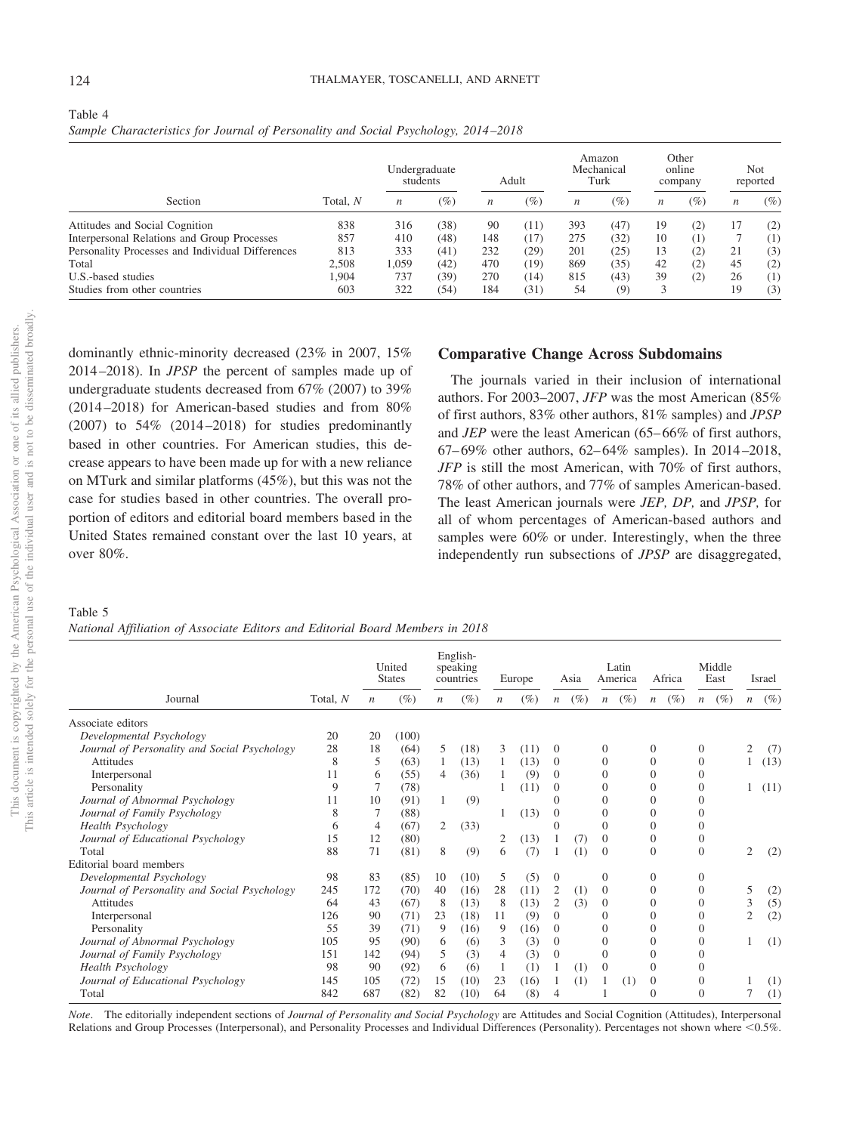<span id="page-8-0"></span>

| Table 4                                                                            |  |  |  |
|------------------------------------------------------------------------------------|--|--|--|
| Sample Characteristics for Journal of Personality and Social Psychology, 2014–2018 |  |  |  |

|                                                  |          | Undergraduate<br>students |        |                  | Adult  |                  | Amazon<br>Mechanical<br>Turk |                  | Other<br>online<br>company |                  | Not<br>reported |
|--------------------------------------------------|----------|---------------------------|--------|------------------|--------|------------------|------------------------------|------------------|----------------------------|------------------|-----------------|
| Section                                          | Total, N | n                         | $(\%)$ | $\boldsymbol{n}$ | $(\%)$ | $\boldsymbol{n}$ | $\left( \% \right)$          | $\boldsymbol{n}$ | $(\%)$                     | $\boldsymbol{n}$ | $(\%)$          |
| Attitudes and Social Cognition                   | 838      | 316                       | (38)   | 90               | (11)   | 393              | (47)                         | 19               | (2)                        | 17               | (2)             |
| Interpersonal Relations and Group Processes      | 857      | 410                       | (48)   | 148              | (17)   | 275              | (32)                         | 10               | $\scriptstyle{(1)}$        |                  | (1)             |
| Personality Processes and Individual Differences | 813      | 333                       | (41)   | 232              | (29)   | 201              | (25)                         | 13               | (2)                        | 21               | (3)             |
| Total                                            | 2.508    | 1.059                     | (42)   | 470              | (19)   | 869              | (35)                         | 42               | (2)                        | 45               | (2)             |
| U.S.-based studies                               | 1.904    | 737                       | (39)   | 270              | (14)   | 815              | (43)                         | 39               | (2)                        | 26               | (1)             |
| Studies from other countries                     | 603      | 322                       | (54)   | 184              | (31)   | 54               | $\left( 9\right)$            |                  |                            | 19               | (3)             |

dominantly ethnic-minority decreased (23% in 2007, 15% 2014–2018). In *JPSP* the percent of samples made up of undergraduate students decreased from 67% (2007) to 39% (2014–2018) for American-based studies and from 80% (2007) to 54% (2014–2018) for studies predominantly based in other countries. For American studies, this decrease appears to have been made up for with a new reliance on MTurk and similar platforms (45%), but this was not the case for studies based in other countries. The overall proportion of editors and editorial board members based in the United States remained constant over the last 10 years, at over 80%.

## **Comparative Change Across Subdomains**

The journals varied in their inclusion of international authors. For 2003–2007, *JFP* was the most American (85% of first authors, 83% other authors, 81% samples) and *JPSP* and *JEP* were the least American (65–66% of first authors, 67–69% other authors, 62–64% samples). In 2014–2018, *JFP* is still the most American, with 70% of first authors, 78% of other authors, and 77% of samples American-based. The least American journals were *JEP, DP,* and *JPSP,* for all of whom percentages of American-based authors and samples were 60% or under. Interestingly, when the three independently run subsections of *JPSP* are disaggregated,

# <span id="page-8-1"></span>Table 5

| National Affiliation of Associate Editors and Editorial Board Members in 2018 |  |  |  |  |
|-------------------------------------------------------------------------------|--|--|--|--|
|                                                                               |  |  |  |  |

|                                              |          |                  | United<br><b>States</b> |                  | English-<br>speaking<br>countries |                  | Europe |                  | Asia |                  | Latin<br>America | Africa                     |                  | Middle<br>East |                  | Israel |
|----------------------------------------------|----------|------------------|-------------------------|------------------|-----------------------------------|------------------|--------|------------------|------|------------------|------------------|----------------------------|------------------|----------------|------------------|--------|
| Journal                                      | Total, N | $\boldsymbol{n}$ | $(\%)$                  | $\boldsymbol{n}$ | $(\%)$                            | $\boldsymbol{n}$ | $(\%)$ | $\boldsymbol{n}$ | (%)  | $\boldsymbol{n}$ | (%)              | $(\%)$<br>$\boldsymbol{n}$ | $\boldsymbol{n}$ | $(\%)$         | $\boldsymbol{n}$ | $(\%)$ |
| Associate editors                            |          |                  |                         |                  |                                   |                  |        |                  |      |                  |                  |                            |                  |                |                  |        |
| Developmental Psychology                     | 20       | 20               | (100)                   |                  |                                   |                  |        |                  |      |                  |                  |                            |                  |                |                  |        |
| Journal of Personality and Social Psychology | 28       | 18               | (64)                    | 5                | (18)                              | 3                | (11)   | $\mathbf{0}$     |      | $\theta$         |                  | $\Omega$                   | $\Omega$         |                | $\overline{2}$   | (7)    |
| Attitudes                                    | 8        | 5                | (63)                    | 1                | (13)                              |                  | (13)   | $\mathbf{0}$     |      | $\Omega$         |                  | $\Omega$                   | $\Omega$         |                |                  | (13)   |
| Interpersonal                                | 11       | 6                | (55)                    | $\overline{4}$   | (36)                              |                  | (9)    | $\theta$         |      | $\Omega$         |                  | $\Omega$                   | $\Omega$         |                |                  |        |
| Personality                                  | 9        |                  | (78)                    |                  |                                   |                  | (11)   | $\theta$         |      | $\theta$         |                  | $\Omega$                   | $\overline{0}$   |                |                  | (11)   |
| Journal of Abnormal Psychology               | 11       | 10               | (91)                    | 1                | (9)                               |                  |        | $\Omega$         |      | $\Omega$         |                  | $\Omega$                   |                  |                |                  |        |
| Journal of Family Psychology                 | 8        |                  | (88)                    |                  |                                   |                  | (13)   | $\Omega$         |      | $\Omega$         |                  | $\Omega$                   |                  |                |                  |        |
| <b>Health Psychology</b>                     | 6        | 4                | (67)                    | 2                | (33)                              |                  |        | $\Omega$         |      | $\Omega$         |                  | $\Omega$                   |                  |                |                  |        |
| Journal of Educational Psychology            | 15       | 12               | (80)                    |                  |                                   | 2                | (13)   |                  | (7)  | $\theta$         |                  | $\Omega$                   | 0                |                |                  |        |
| Total                                        | 88       | 71               | (81)                    | 8                | (9)                               | 6                | (7)    |                  | (1)  | $\Omega$         |                  | $\theta$                   | $\Omega$         |                | $\overline{c}$   | (2)    |
| Editorial board members                      |          |                  |                         |                  |                                   |                  |        |                  |      |                  |                  |                            |                  |                |                  |        |
| Developmental Psychology                     | 98       | 83               | (85)                    | 10               | (10)                              | 5                | (5)    | $\theta$         |      | $\theta$         |                  | $\Omega$                   | $\Omega$         |                |                  |        |
| Journal of Personality and Social Psychology | 245      | 172              | (70)                    | 40               | (16)                              | 28               | (11)   | 2                | (1)  | $\theta$         |                  | $\Omega$                   | $\Omega$         |                | 5                | (2)    |
| <b>Attitudes</b>                             | 64       | 43               | (67)                    | 8                | (13)                              | 8                | (13)   | 2                | (3)  | $\Omega$         |                  | $\Omega$                   | $\Omega$         |                | 3                | (5)    |
| Interpersonal                                | 126      | 90               | (71)                    | 23               | (18)                              | 11               | (9)    | $\Omega$         |      | $\Omega$         |                  | $\Omega$                   | $\Omega$         |                | $\overline{c}$   | (2)    |
| Personality                                  | 55       | 39               | (71)                    | 9                | (16)                              | 9                | (16)   | $\theta$         |      | $\Omega$         |                  | $\Omega$                   |                  |                |                  |        |
| Journal of Abnormal Psychology               | 105      | 95               | (90)                    | 6                | (6)                               | 3                | (3)    | $\theta$         |      | $\Omega$         |                  | $\Omega$                   | $\Omega$         |                |                  | (1)    |
| Journal of Family Psychology                 | 151      | 142              | (94)                    | 5                | (3)                               | 4                | (3)    | $\theta$         |      | $\theta$         |                  | $\Omega$                   |                  |                |                  |        |
| <b>Health Psychology</b>                     | 98       | 90               | (92)                    | 6                | (6)                               |                  | (1)    |                  | (1)  | $\theta$         |                  | $\Omega$                   |                  |                |                  |        |
| Journal of Educational Psychology            | 145      | 105              | (72)                    | 15               | (10)                              | 23               | (16)   |                  | (1)  |                  | (1)              | $\theta$                   | $\Omega$         |                |                  | (1)    |
| Total                                        | 842      | 687              | (82)                    | 82               | (10)                              | 64               | (8)    |                  |      |                  |                  | $\Omega$                   | $\Omega$         |                |                  | (1)    |

*Note*. The editorially independent sections of *Journal of Personality and Social Psychology* are Attitudes and Social Cognition (Attitudes), Interpersonal Relations and Group Processes (Interpersonal), and Personality Processes and Individual Differences (Personality). Percentages not shown where <0.5%.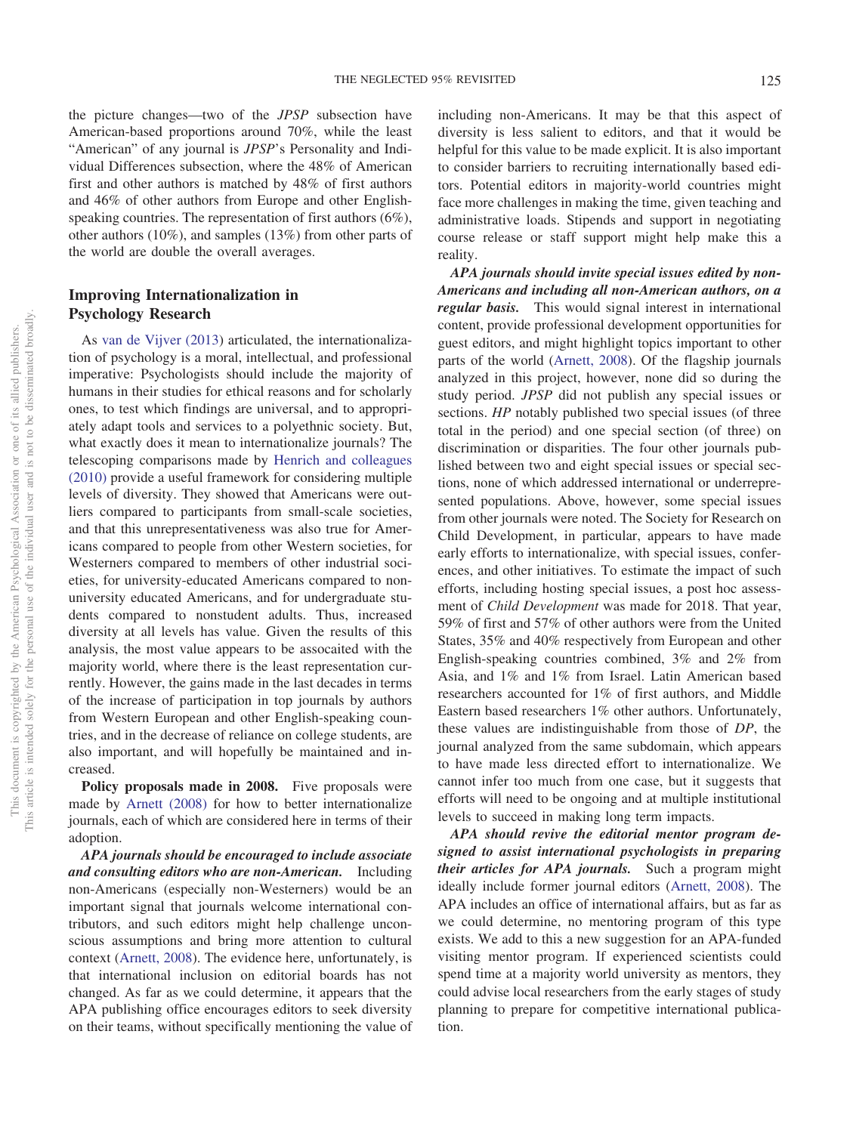the picture changes—two of the *JPSP* subsection have American-based proportions around 70%, while the least "American" of any journal is *JPSP*'s Personality and Individual Differences subsection, where the 48% of American first and other authors is matched by 48% of first authors and 46% of other authors from Europe and other Englishspeaking countries. The representation of first authors (6%), other authors (10%), and samples (13%) from other parts of the world are double the overall averages.

# **Improving Internationalization in Psychology Research**

As [van de Vijver \(2013\)](#page-13-1) articulated, the internationalization of psychology is a moral, intellectual, and professional imperative: Psychologists should include the majority of humans in their studies for ethical reasons and for scholarly ones, to test which findings are universal, and to appropriately adapt tools and services to a polyethnic society. But, what exactly does it mean to internationalize journals? The telescoping comparisons made by [Henrich and colleagues](#page-12-2) [\(2010\)](#page-12-2) provide a useful framework for considering multiple levels of diversity. They showed that Americans were outliers compared to participants from small-scale societies, and that this unrepresentativeness was also true for Americans compared to people from other Western societies, for Westerners compared to members of other industrial societies, for university-educated Americans compared to nonuniversity educated Americans, and for undergraduate students compared to nonstudent adults. Thus, increased diversity at all levels has value. Given the results of this analysis, the most value appears to be assocaited with the majority world, where there is the least representation currently. However, the gains made in the last decades in terms of the increase of participation in top journals by authors from Western European and other English-speaking countries, and in the decrease of reliance on college students, are also important, and will hopefully be maintained and increased.

Policy proposals made in 2008. Five proposals were made by [Arnett \(2008\)](#page-12-0) for how to better internationalize journals, each of which are considered here in terms of their adoption.

*APA journals should be encouraged to include associate and consulting editors who are non-American.* Including non-Americans (especially non-Westerners) would be an important signal that journals welcome international contributors, and such editors might help challenge unconscious assumptions and bring more attention to cultural context [\(Arnett, 2008\)](#page-12-0). The evidence here, unfortunately, is that international inclusion on editorial boards has not changed. As far as we could determine, it appears that the APA publishing office encourages editors to seek diversity on their teams, without specifically mentioning the value of including non-Americans. It may be that this aspect of diversity is less salient to editors, and that it would be helpful for this value to be made explicit. It is also important to consider barriers to recruiting internationally based editors. Potential editors in majority-world countries might face more challenges in making the time, given teaching and administrative loads. Stipends and support in negotiating course release or staff support might help make this a reality.

*APA journals should invite special issues edited by non-Americans and including all non-American authors, on a regular basis.* This would signal interest in international content, provide professional development opportunities for guest editors, and might highlight topics important to other parts of the world [\(Arnett, 2008\)](#page-12-0). Of the flagship journals analyzed in this project, however, none did so during the study period. *JPSP* did not publish any special issues or sections. *HP* notably published two special issues (of three total in the period) and one special section (of three) on discrimination or disparities. The four other journals published between two and eight special issues or special sections, none of which addressed international or underrepresented populations. Above, however, some special issues from other journals were noted. The Society for Research on Child Development, in particular, appears to have made early efforts to internationalize, with special issues, conferences, and other initiatives. To estimate the impact of such efforts, including hosting special issues, a post hoc assessment of *Child Development* was made for 2018. That year, 59% of first and 57% of other authors were from the United States, 35% and 40% respectively from European and other English-speaking countries combined, 3% and 2% from Asia, and 1% and 1% from Israel. Latin American based researchers accounted for 1% of first authors, and Middle Eastern based researchers 1% other authors. Unfortunately, these values are indistinguishable from those of *DP*, the journal analyzed from the same subdomain, which appears to have made less directed effort to internationalize. We cannot infer too much from one case, but it suggests that efforts will need to be ongoing and at multiple institutional levels to succeed in making long term impacts.

*APA should revive the editorial mentor program designed to assist international psychologists in preparing their articles for APA journals.* Such a program might ideally include former journal editors [\(Arnett, 2008\)](#page-12-0). The APA includes an office of international affairs, but as far as we could determine, no mentoring program of this type exists. We add to this a new suggestion for an APA-funded visiting mentor program. If experienced scientists could spend time at a majority world university as mentors, they could advise local researchers from the early stages of study planning to prepare for competitive international publication.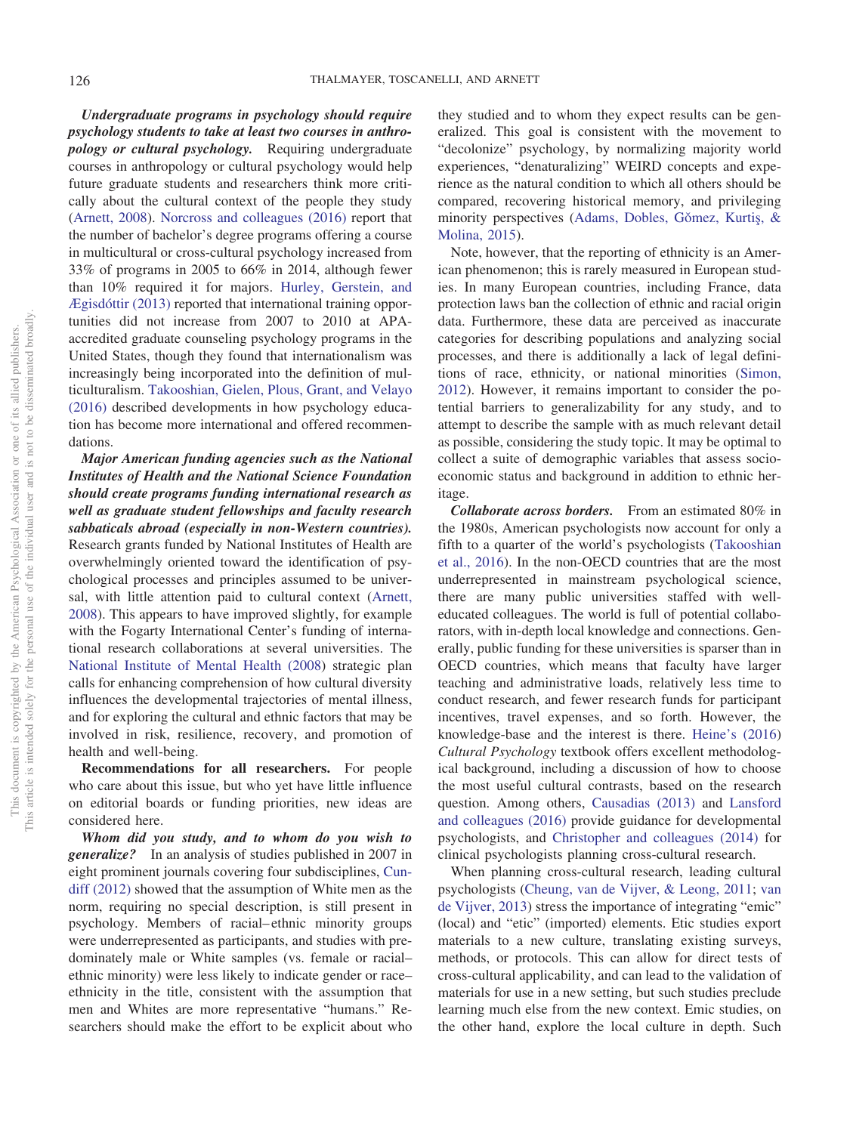*Undergraduate programs in psychology should require psychology students to take at least two courses in anthropology or cultural psychology.* Requiring undergraduate courses in anthropology or cultural psychology would help future graduate students and researchers think more critically about the cultural context of the people they study [\(Arnett, 2008\)](#page-12-0). [Norcross and colleagues \(2016\)](#page-12-20) report that the number of bachelor's degree programs offering a course in multicultural or cross-cultural psychology increased from 33% of programs in 2005 to 66% in 2014, although fewer than 10% required it for majors. [Hurley, Gerstein, and](#page-12-21) [Ægisdóttir \(2013\)](#page-12-21) reported that international training opportunities did not increase from 2007 to 2010 at APAaccredited graduate counseling psychology programs in the United States, though they found that internationalism was increasingly being incorporated into the definition of multiculturalism. [Takooshian, Gielen, Plous, Grant, and Velayo](#page-12-22) [\(2016\)](#page-12-22) described developments in how psychology education has become more international and offered recommendations.

*Major American funding agencies such as the National Institutes of Health and the National Science Foundation should create programs funding international research as well as graduate student fellowships and faculty research sabbaticals abroad (especially in non-Western countries).* Research grants funded by National Institutes of Health are overwhelmingly oriented toward the identification of psychological processes and principles assumed to be universal, with little attention paid to cultural context [\(Arnett,](#page-12-0) [2008\)](#page-12-0). This appears to have improved slightly, for example with the Fogarty International Center's funding of international research collaborations at several universities. The [National Institute of Mental Health \(2008\)](#page-12-23) strategic plan calls for enhancing comprehension of how cultural diversity influences the developmental trajectories of mental illness, and for exploring the cultural and ethnic factors that may be involved in risk, resilience, recovery, and promotion of health and well-being.

**Recommendations for all researchers.** For people who care about this issue, but who yet have little influence on editorial boards or funding priorities, new ideas are considered here.

*Whom did you study, and to whom do you wish to generalize?* In an analysis of studies published in 2007 in eight prominent journals covering four subdisciplines, [Cun](#page-12-24)[diff \(2012\)](#page-12-24) showed that the assumption of White men as the norm, requiring no special description, is still present in psychology. Members of racial–ethnic minority groups were underrepresented as participants, and studies with predominately male or White samples (vs. female or racial– ethnic minority) were less likely to indicate gender or race– ethnicity in the title, consistent with the assumption that men and Whites are more representative "humans." Researchers should make the effort to be explicit about who

they studied and to whom they expect results can be generalized. This goal is consistent with the movement to "decolonize" psychology, by normalizing majority world experiences, "denaturalizing" WEIRD concepts and experience as the natural condition to which all others should be compared, recovering historical memory, and privileging minority perspectives (Adams, Dobles, Gŏmez, Kurtiş, & [Molina, 2015\)](#page-12-25).

Note, however, that the reporting of ethnicity is an American phenomenon; this is rarely measured in European studies. In many European countries, including France, data protection laws ban the collection of ethnic and racial origin data. Furthermore, these data are perceived as inaccurate categories for describing populations and analyzing social processes, and there is additionally a lack of legal definitions of race, ethnicity, or national minorities [\(Simon,](#page-12-26) [2012\)](#page-12-26). However, it remains important to consider the potential barriers to generalizability for any study, and to attempt to describe the sample with as much relevant detail as possible, considering the study topic. It may be optimal to collect a suite of demographic variables that assess socioeconomic status and background in addition to ethnic heritage.

*Collaborate across borders.* From an estimated 80% in the 1980s, American psychologists now account for only a fifth to a quarter of the world's psychologists [\(Takooshian](#page-12-22) [et al., 2016\)](#page-12-22). In the non-OECD countries that are the most underrepresented in mainstream psychological science, there are many public universities staffed with welleducated colleagues. The world is full of potential collaborators, with in-depth local knowledge and connections. Generally, public funding for these universities is sparser than in OECD countries, which means that faculty have larger teaching and administrative loads, relatively less time to conduct research, and fewer research funds for participant incentives, travel expenses, and so forth. However, the knowledge-base and the interest is there. [Heine's \(2016\)](#page-12-27) *Cultural Psychology* textbook offers excellent methodological background, including a discussion of how to choose the most useful cultural contrasts, based on the research question. Among others, [Causadias \(2013\)](#page-12-28) and [Lansford](#page-12-29) [and colleagues \(2016\)](#page-12-29) provide guidance for developmental psychologists, and [Christopher and colleagues \(2014\)](#page-12-17) for clinical psychologists planning cross-cultural research.

When planning cross-cultural research, leading cultural psychologists [\(Cheung, van de Vijver, & Leong, 2011;](#page-12-30) [van](#page-13-1) [de Vijver, 2013\)](#page-13-1) stress the importance of integrating "emic" (local) and "etic" (imported) elements. Etic studies export materials to a new culture, translating existing surveys, methods, or protocols. This can allow for direct tests of cross-cultural applicability, and can lead to the validation of materials for use in a new setting, but such studies preclude learning much else from the new context. Emic studies, on the other hand, explore the local culture in depth. Such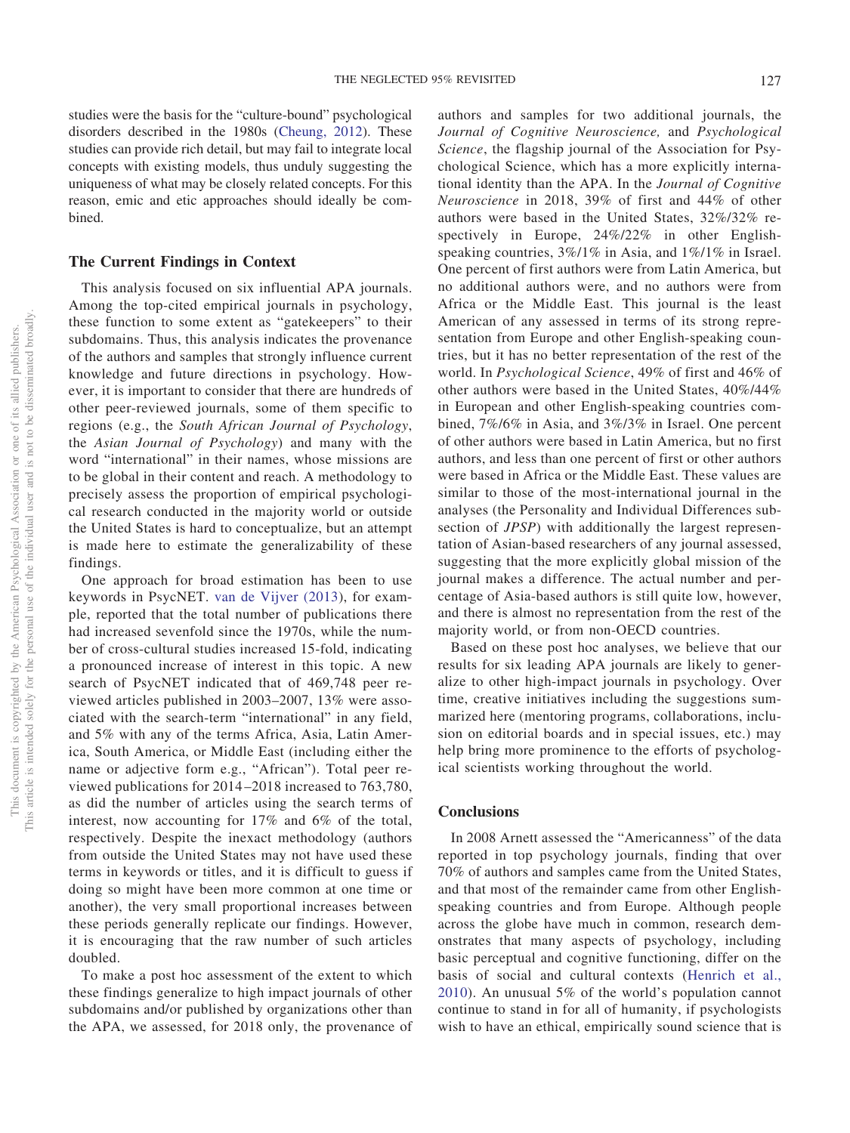studies were the basis for the "culture-bound" psychological disorders described in the 1980s [\(Cheung, 2012\)](#page-12-5). These studies can provide rich detail, but may fail to integrate local concepts with existing models, thus unduly suggesting the uniqueness of what may be closely related concepts. For this reason, emic and etic approaches should ideally be combined.

## **The Current Findings in Context**

This analysis focused on six influential APA journals. Among the top-cited empirical journals in psychology, these function to some extent as "gatekeepers" to their subdomains. Thus, this analysis indicates the provenance of the authors and samples that strongly influence current knowledge and future directions in psychology. However, it is important to consider that there are hundreds of other peer-reviewed journals, some of them specific to regions (e.g., the *South African Journal of Psychology*, the *Asian Journal of Psychology*) and many with the word "international" in their names, whose missions are to be global in their content and reach. A methodology to precisely assess the proportion of empirical psychological research conducted in the majority world or outside the United States is hard to conceptualize, but an attempt is made here to estimate the generalizability of these findings.

One approach for broad estimation has been to use keywords in PsycNET. [van de Vijver \(2013\)](#page-13-1), for example, reported that the total number of publications there had increased sevenfold since the 1970s, while the number of cross-cultural studies increased 15-fold, indicating a pronounced increase of interest in this topic. A new search of PsycNET indicated that of 469,748 peer reviewed articles published in 2003–2007, 13% were associated with the search-term "international" in any field, and 5% with any of the terms Africa, Asia, Latin America, South America, or Middle East (including either the name or adjective form e.g., "African"). Total peer reviewed publications for 2014–2018 increased to 763,780, as did the number of articles using the search terms of interest, now accounting for 17% and 6% of the total, respectively. Despite the inexact methodology (authors from outside the United States may not have used these terms in keywords or titles, and it is difficult to guess if doing so might have been more common at one time or another), the very small proportional increases between these periods generally replicate our findings. However, it is encouraging that the raw number of such articles doubled.

To make a post hoc assessment of the extent to which these findings generalize to high impact journals of other subdomains and/or published by organizations other than the APA, we assessed, for 2018 only, the provenance of

authors and samples for two additional journals, the *Journal of Cognitive Neuroscience,* and *Psychological Science*, the flagship journal of the Association for Psychological Science, which has a more explicitly international identity than the APA. In the *Journal of Cognitive Neuroscience* in 2018, 39% of first and 44% of other authors were based in the United States, 32%/32% respectively in Europe, 24%/22% in other Englishspeaking countries, 3%/1% in Asia, and 1%/1% in Israel. One percent of first authors were from Latin America, but no additional authors were, and no authors were from Africa or the Middle East. This journal is the least American of any assessed in terms of its strong representation from Europe and other English-speaking countries, but it has no better representation of the rest of the world. In *Psychological Science*, 49% of first and 46% of other authors were based in the United States, 40%/44% in European and other English-speaking countries combined, 7%/6% in Asia, and 3%/3% in Israel. One percent of other authors were based in Latin America, but no first authors, and less than one percent of first or other authors were based in Africa or the Middle East. These values are similar to those of the most-international journal in the analyses (the Personality and Individual Differences subsection of *JPSP*) with additionally the largest representation of Asian-based researchers of any journal assessed, suggesting that the more explicitly global mission of the journal makes a difference. The actual number and percentage of Asia-based authors is still quite low, however, and there is almost no representation from the rest of the majority world, or from non-OECD countries.

Based on these post hoc analyses, we believe that our results for six leading APA journals are likely to generalize to other high-impact journals in psychology. Over time, creative initiatives including the suggestions summarized here (mentoring programs, collaborations, inclusion on editorial boards and in special issues, etc.) may help bring more prominence to the efforts of psychological scientists working throughout the world.

#### **Conclusions**

In 2008 Arnett assessed the "Americanness" of the data reported in top psychology journals, finding that over 70% of authors and samples came from the United States, and that most of the remainder came from other Englishspeaking countries and from Europe. Although people across the globe have much in common, research demonstrates that many aspects of psychology, including basic perceptual and cognitive functioning, differ on the basis of social and cultural contexts [\(Henrich et al.,](#page-12-2) [2010\)](#page-12-2). An unusual 5% of the world's population cannot continue to stand in for all of humanity, if psychologists wish to have an ethical, empirically sound science that is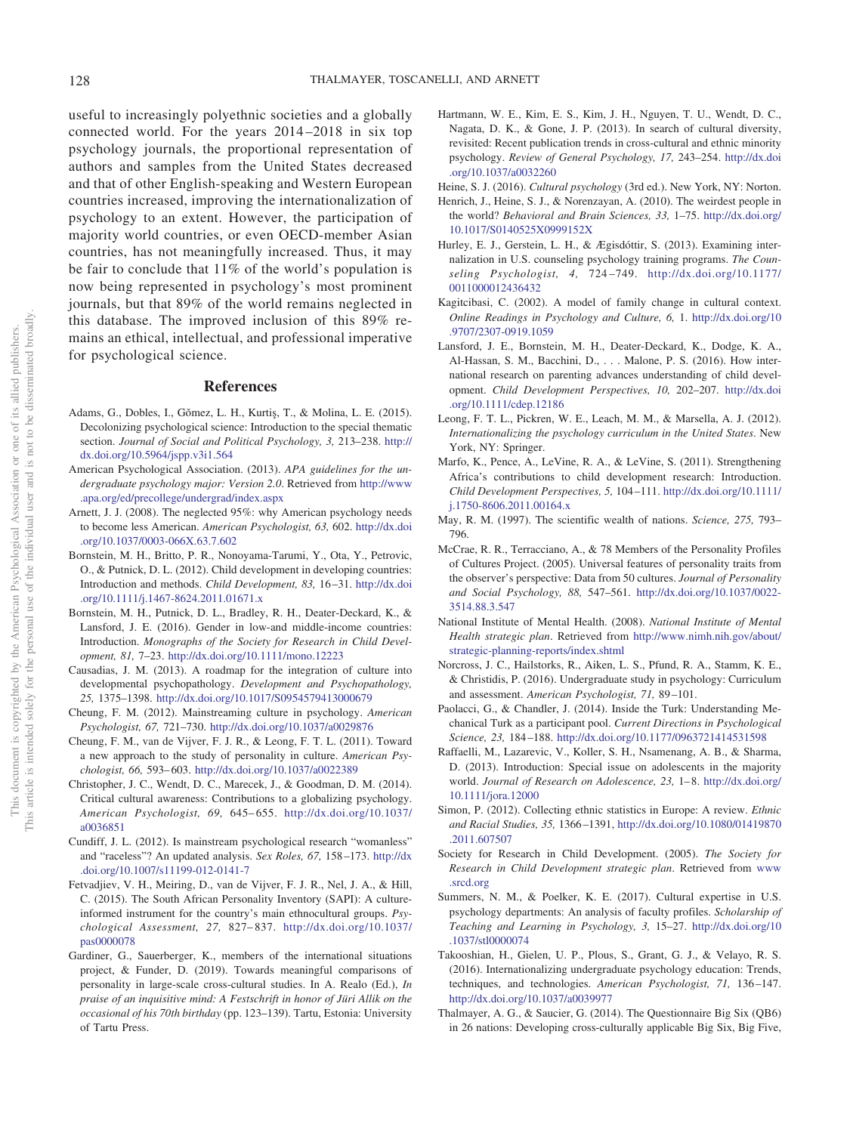useful to increasingly polyethnic societies and a globally connected world. For the years 2014–2018 in six top psychology journals, the proportional representation of authors and samples from the United States decreased and that of other English-speaking and Western European countries increased, improving the internationalization of psychology to an extent. However, the participation of majority world countries, or even OECD-member Asian countries, has not meaningfully increased. Thus, it may be fair to conclude that 11% of the world's population is now being represented in psychology's most prominent journals, but that 89% of the world remains neglected in this database. The improved inclusion of this 89% remains an ethical, intellectual, and professional imperative for psychological science.

#### **References**

- <span id="page-12-25"></span>Adams, G., Dobles, I., Gŏmez, L. H., Kurtiş, T., & Molina, L. E. (2015). Decolonizing psychological science: Introduction to the special thematic section. *Journal of Social and Political Psychology, 3,* 213–238. [http://](http://dx.doi.org/10.5964/jspp.v3i1.564) [dx.doi.org/10.5964/jspp.v3i1.564](http://dx.doi.org/10.5964/jspp.v3i1.564)
- <span id="page-12-7"></span>American Psychological Association. (2013). *APA guidelines for the undergraduate psychology major: Version 2.0*. Retrieved from [http://www](http://www.apa.org/ed/precollege/undergrad/index.aspx) [.apa.org/ed/precollege/undergrad/index.aspx](http://www.apa.org/ed/precollege/undergrad/index.aspx)
- <span id="page-12-0"></span>Arnett, J. J. (2008). The neglected 95%: why American psychology needs to become less American. *American Psychologist, 63,* 602. [http://dx.doi](http://dx.doi.org/10.1037/0003-066X.63.7.602) [.org/10.1037/0003-066X.63.7.602](http://dx.doi.org/10.1037/0003-066X.63.7.602)
- <span id="page-12-10"></span>Bornstein, M. H., Britto, P. R., Nonoyama-Tarumi, Y., Ota, Y., Petrovic, O., & Putnick, D. L. (2012). Child development in developing countries: Introduction and methods. *Child Development, 83,* 16–31. [http://dx.doi](http://dx.doi.org/10.1111/j.1467-8624.2011.01671.x) [.org/10.1111/j.1467-8624.2011.01671.x](http://dx.doi.org/10.1111/j.1467-8624.2011.01671.x)
- <span id="page-12-11"></span>Bornstein, M. H., Putnick, D. L., Bradley, R. H., Deater-Deckard, K., & Lansford, J. E. (2016). Gender in low-and middle-income countries: Introduction. *Monographs of the Society for Research in Child Development, 81,* 7–23. <http://dx.doi.org/10.1111/mono.12223>
- <span id="page-12-28"></span>Causadias, J. M. (2013). A roadmap for the integration of culture into developmental psychopathology. *Development and Psychopathology, 25,* 1375–1398. <http://dx.doi.org/10.1017/S0954579413000679>
- <span id="page-12-5"></span>Cheung, F. M. (2012). Mainstreaming culture in psychology. *American Psychologist, 67,* 721–730. <http://dx.doi.org/10.1037/a0029876>
- <span id="page-12-30"></span>Cheung, F. M., van de Vijver, F. J. R., & Leong, F. T. L. (2011). Toward a new approach to the study of personality in culture. *American Psychologist, 66,* 593–603. <http://dx.doi.org/10.1037/a0022389>
- <span id="page-12-17"></span>Christopher, J. C., Wendt, D. C., Marecek, J., & Goodman, D. M. (2014). Critical cultural awareness: Contributions to a globalizing psychology. *American Psychologist, 69,* 645–655. [http://dx.doi.org/10.1037/](http://dx.doi.org/10.1037/a0036851) [a0036851](http://dx.doi.org/10.1037/a0036851)
- <span id="page-12-24"></span>Cundiff, J. L. (2012). Is mainstream psychological research "womanless" and "raceless"? An updated analysis. *Sex Roles, 67,* 158–173. [http://dx](http://dx.doi.org/10.1007/s11199-012-0141-7) [.doi.org/10.1007/s11199-012-0141-7](http://dx.doi.org/10.1007/s11199-012-0141-7)
- <span id="page-12-16"></span>Fetvadjiev, V. H., Meiring, D., van de Vijver, F. J. R., Nel, J. A., & Hill, C. (2015). The South African Personality Inventory (SAPI): A cultureinformed instrument for the country's main ethnocultural groups. *Psychological Assessment, 27,* 827–837. [http://dx.doi.org/10.1037/](http://dx.doi.org/10.1037/pas0000078) [pas0000078](http://dx.doi.org/10.1037/pas0000078)
- <span id="page-12-13"></span>Gardiner, G., Sauerberger, K., members of the international situations project, & Funder, D. (2019). Towards meaningful comparisons of personality in large-scale cross-cultural studies. In A. Realo (Ed.), *In praise of an inquisitive mind: A Festschrift in honor of Jüri Allik on the occasional of his 70th birthday* (pp. 123–139). Tartu, Estonia: University of Tartu Press.
- <span id="page-12-3"></span>Hartmann, W. E., Kim, E. S., Kim, J. H., Nguyen, T. U., Wendt, D. C., Nagata, D. K., & Gone, J. P. (2013). In search of cultural diversity, revisited: Recent publication trends in cross-cultural and ethnic minority psychology. *Review of General Psychology, 17,* 243–254. [http://dx.doi](http://dx.doi.org/10.1037/a0032260) [.org/10.1037/a0032260](http://dx.doi.org/10.1037/a0032260)
- <span id="page-12-27"></span>Heine, S. J. (2016). *Cultural psychology* (3rd ed.). New York, NY: Norton.
- <span id="page-12-2"></span>Henrich, J., Heine, S. J., & Norenzayan, A. (2010). The weirdest people in the world? *Behavioral and Brain Sciences, 33,* 1–75. [http://dx.doi.org/](http://dx.doi.org/10.1017/S0140525X0999152X) [10.1017/S0140525X0999152X](http://dx.doi.org/10.1017/S0140525X0999152X)
- <span id="page-12-21"></span>Hurley, E. J., Gerstein, L. H., & Ægisdóttir, S. (2013). Examining internalization in U.S. counseling psychology training programs. *The Counseling Psychologist, 4,* 724–749. [http://dx.doi.org/10.1177/](http://dx.doi.org/10.1177/0011000012436432) [0011000012436432](http://dx.doi.org/10.1177/0011000012436432)
- <span id="page-12-4"></span>Kagitcibasi, C. (2002). A model of family change in cultural context. *Online Readings in Psychology and Culture, 6,* 1. [http://dx.doi.org/10](http://dx.doi.org/10.9707/2307-0919.1059) [.9707/2307-0919.1059](http://dx.doi.org/10.9707/2307-0919.1059)
- <span id="page-12-29"></span>Lansford, J. E., Bornstein, M. H., Deater-Deckard, K., Dodge, K. A., Al-Hassan, S. M., Bacchini, D.,... Malone, P. S. (2016). How international research on parenting advances understanding of child development. *Child Development Perspectives, 10,* 202–207. [http://dx.doi](http://dx.doi.org/10.1111/cdep.12186) [.org/10.1111/cdep.12186](http://dx.doi.org/10.1111/cdep.12186)
- <span id="page-12-6"></span>Leong, F. T. L., Pickren, W. E., Leach, M. M., & Marsella, A. J. (2012). *Internationalizing the psychology curriculum in the United States*. New York, NY: Springer.
- <span id="page-12-9"></span>Marfo, K., Pence, A., LeVine, R. A., & LeVine, S. (2011). Strengthening Africa's contributions to child development research: Introduction. *Child Development Perspectives, 5,* 104–111. [http://dx.doi.org/10.1111/](http://dx.doi.org/10.1111/j.1750-8606.2011.00164.x) [j.1750-8606.2011.00164.x](http://dx.doi.org/10.1111/j.1750-8606.2011.00164.x)
- <span id="page-12-1"></span>May, R. M. (1997). The scientific wealth of nations. *Science, 275,* 793– 796.
- <span id="page-12-14"></span>McCrae, R. R., Terracciano, A., & 78 Members of the Personality Profiles of Cultures Project. (2005). Universal features of personality traits from the observer's perspective: Data from 50 cultures. *Journal of Personality and Social Psychology, 88,* 547–561. [http://dx.doi.org/10.1037/0022-](http://dx.doi.org/10.1037/0022-3514.88.3.547) [3514.88.3.547](http://dx.doi.org/10.1037/0022-3514.88.3.547)
- <span id="page-12-23"></span>National Institute of Mental Health. (2008). *National Institute of Mental Health strategic plan*. Retrieved from [http://www.nimh.nih.gov/about/](http://www.nimh.nih.gov/about/strategic-planning-reports/index.shtml) [strategic-planning-reports/index.shtml](http://www.nimh.nih.gov/about/strategic-planning-reports/index.shtml)
- <span id="page-12-20"></span>Norcross, J. C., Hailstorks, R., Aiken, L. S., Pfund, R. A., Stamm, K. E., & Christidis, P. (2016). Undergraduate study in psychology: Curriculum and assessment. *American Psychologist, 71,* 89–101.
- <span id="page-12-19"></span>Paolacci, G., & Chandler, J. (2014). Inside the Turk: Understanding Mechanical Turk as a participant pool. *Current Directions in Psychological Science, 23,* 184–188. <http://dx.doi.org/10.1177/0963721414531598>
- <span id="page-12-12"></span>Raffaelli, M., Lazarevic, V., Koller, S. H., Nsamenang, A. B., & Sharma, D. (2013). Introduction: Special issue on adolescents in the majority world. *Journal of Research on Adolescence, 23,* 1–8. [http://dx.doi.org/](http://dx.doi.org/10.1111/jora.12000) [10.1111/jora.12000](http://dx.doi.org/10.1111/jora.12000)
- <span id="page-12-26"></span>Simon, P. (2012). Collecting ethnic statistics in Europe: A review. *Ethnic and Racial Studies, 35,* 1366–1391, [http://dx.doi.org/10.1080/01419870](http://dx.doi.org/10.1080/01419870.2011.607507) [.2011.607507](http://dx.doi.org/10.1080/01419870.2011.607507)
- <span id="page-12-8"></span>Society for Research in Child Development. (2005). *The Society for Research in Child Development strategic plan*. Retrieved from [www](http://www.srcd.org) [.srcd.org](http://www.srcd.org)
- <span id="page-12-18"></span>Summers, N. M., & Poelker, K. E. (2017). Cultural expertise in U.S. psychology departments: An analysis of faculty profiles. *Scholarship of Teaching and Learning in Psychology, 3,* 15–27. [http://dx.doi.org/10](http://dx.doi.org/10.1037/stl0000074) [.1037/stl0000074](http://dx.doi.org/10.1037/stl0000074)
- <span id="page-12-22"></span>Takooshian, H., Gielen, U. P., Plous, S., Grant, G. J., & Velayo, R. S. (2016). Internationalizing undergraduate psychology education: Trends, techniques, and technologies. *American Psychologist, 71,* 136–147. <http://dx.doi.org/10.1037/a0039977>
- <span id="page-12-15"></span>Thalmayer, A. G., & Saucier, G. (2014). The Questionnaire Big Six (QB6) in 26 nations: Developing cross-culturally applicable Big Six, Big Five,